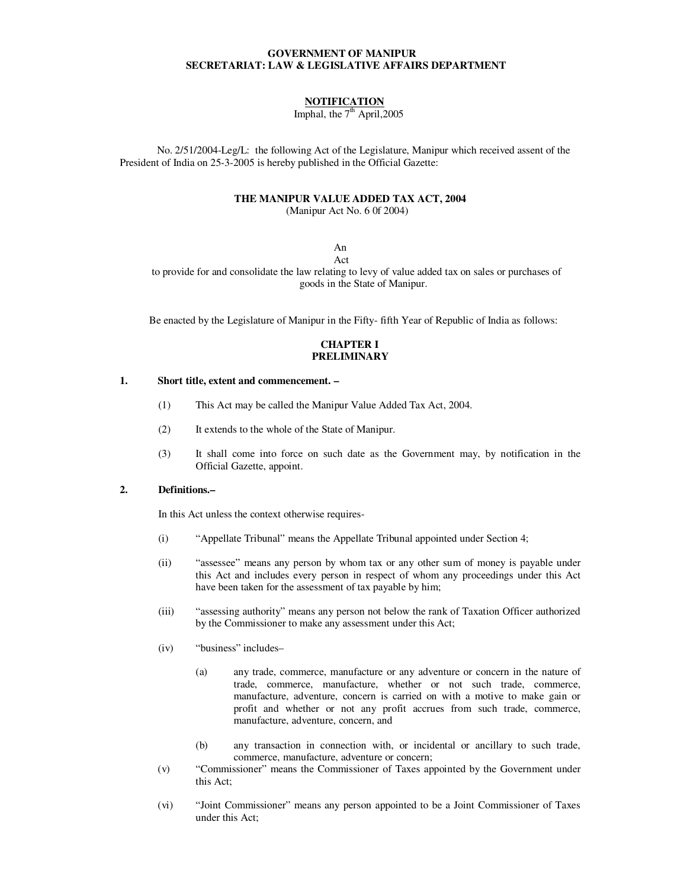### **GOVERNMENT OF MANIPUR SECRETARIAT: LAW & LEGISLATIVE AFFAIRS DEPARTMENT**

# **NOTIFICATION**

Imphal, the  $7<sup>th</sup>$  April, 2005

 No. 2/51/2004-Leg/L: the following Act of the Legislature, Manipur which received assent of the President of India on 25-3-2005 is hereby published in the Official Gazette:

### **THE MANIPUR VALUE ADDED TAX ACT, 2004**

(Manipur Act No. 6 0f 2004)

An

 Act to provide for and consolidate the law relating to levy of value added tax on sales or purchases of goods in the State of Manipur.

Be enacted by the Legislature of Manipur in the Fifty- fifth Year of Republic of India as follows:

## **CHAPTER I PRELIMINARY**

#### **1. Short title, extent and commencement. –**

- (1) This Act may be called the Manipur Value Added Tax Act, 2004.
- (2) It extends to the whole of the State of Manipur.
- (3) It shall come into force on such date as the Government may, by notification in the Official Gazette, appoint.

### **2. Definitions.–**

In this Act unless the context otherwise requires-

- (i) "Appellate Tribunal" means the Appellate Tribunal appointed under Section 4;
- (ii) "assessee" means any person by whom tax or any other sum of money is payable under this Act and includes every person in respect of whom any proceedings under this Act have been taken for the assessment of tax payable by him;
- (iii) "assessing authority" means any person not below the rank of Taxation Officer authorized by the Commissioner to make any assessment under this Act;
- (iv) "business" includes–
	- (a) any trade, commerce, manufacture or any adventure or concern in the nature of trade, commerce, manufacture, whether or not such trade, commerce, manufacture, adventure, concern is carried on with a motive to make gain or profit and whether or not any profit accrues from such trade, commerce, manufacture, adventure, concern, and
	- (b) any transaction in connection with, or incidental or ancillary to such trade, commerce, manufacture, adventure or concern;
- (v) "Commissioner" means the Commissioner of Taxes appointed by the Government under this Act;
- (vi) "Joint Commissioner" means any person appointed to be a Joint Commissioner of Taxes under this Act;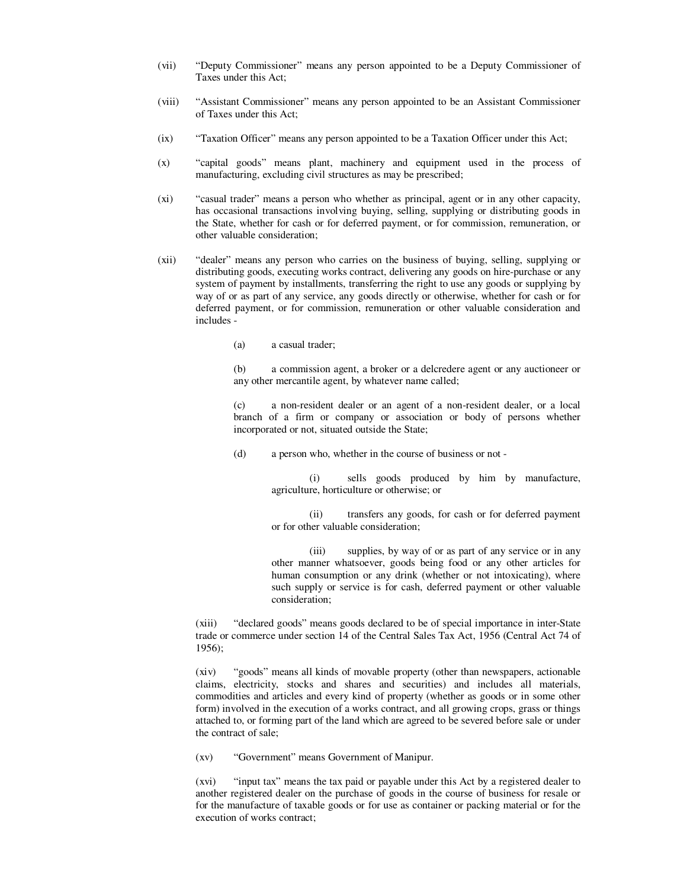- (vii) "Deputy Commissioner" means any person appointed to be a Deputy Commissioner of Taxes under this Act;
- (viii) "Assistant Commissioner" means any person appointed to be an Assistant Commissioner of Taxes under this Act;
- (ix) "Taxation Officer" means any person appointed to be a Taxation Officer under this Act;
- (x) "capital goods" means plant, machinery and equipment used in the process of manufacturing, excluding civil structures as may be prescribed;
- (xi) "casual trader" means a person who whether as principal, agent or in any other capacity, has occasional transactions involving buying, selling, supplying or distributing goods in the State, whether for cash or for deferred payment, or for commission, remuneration, or other valuable consideration;
- (xii) "dealer" means any person who carries on the business of buying, selling, supplying or distributing goods, executing works contract, delivering any goods on hire-purchase or any system of payment by installments, transferring the right to use any goods or supplying by way of or as part of any service, any goods directly or otherwise, whether for cash or for deferred payment, or for commission, remuneration or other valuable consideration and includes -
	- (a) a casual trader;

 (b) a commission agent, a broker or a delcredere agent or any auctioneer or any other mercantile agent, by whatever name called;

 (c) a non-resident dealer or an agent of a non-resident dealer, or a local branch of a firm or company or association or body of persons whether incorporated or not, situated outside the State;

(d) a person who, whether in the course of business or not -

 (i) sells goods produced by him by manufacture, agriculture, horticulture or otherwise; or

 (ii) transfers any goods, for cash or for deferred payment or for other valuable consideration;

 (iii) supplies, by way of or as part of any service or in any other manner whatsoever, goods being food or any other articles for human consumption or any drink (whether or not intoxicating), where such supply or service is for cash, deferred payment or other valuable consideration;

 (xiii) "declared goods" means goods declared to be of special importance in inter-State trade or commerce under section 14 of the Central Sales Tax Act, 1956 (Central Act 74 of 1956);

 (xiv) "goods" means all kinds of movable property (other than newspapers, actionable claims, electricity, stocks and shares and securities) and includes all materials, commodities and articles and every kind of property (whether as goods or in some other form) involved in the execution of a works contract, and all growing crops, grass or things attached to, or forming part of the land which are agreed to be severed before sale or under the contract of sale;

(xv) "Government" means Government of Manipur.

 (xvi) "input tax" means the tax paid or payable under this Act by a registered dealer to another registered dealer on the purchase of goods in the course of business for resale or for the manufacture of taxable goods or for use as container or packing material or for the execution of works contract;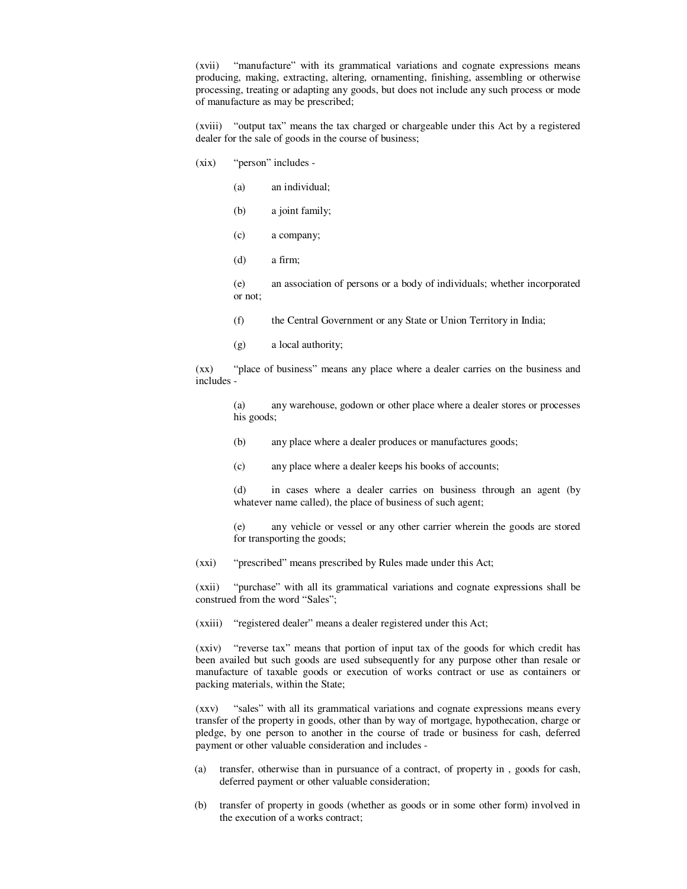(xvii) "manufacture" with its grammatical variations and cognate expressions means producing, making, extracting, altering, ornamenting, finishing, assembling or otherwise processing, treating or adapting any goods, but does not include any such process or mode of manufacture as may be prescribed;

 (xviii) "output tax" means the tax charged or chargeable under this Act by a registered dealer for the sale of goods in the course of business;

- (xix) "person" includes
	- (a) an individual;
	- (b) a joint family;
	- (c) a company;
	- (d) a firm;

 (e) an association of persons or a body of individuals; whether incorporated or not;

- (f) the Central Government or any State or Union Territory in India;
- (g) a local authority;

 (xx) "place of business" means any place where a dealer carries on the business and includes -

 (a) any warehouse, godown or other place where a dealer stores or processes his goods;

- (b) any place where a dealer produces or manufactures goods;
- (c) any place where a dealer keeps his books of accounts;

 (d) in cases where a dealer carries on business through an agent (by whatever name called), the place of business of such agent;

 (e) any vehicle or vessel or any other carrier wherein the goods are stored for transporting the goods;

(xxi) "prescribed" means prescribed by Rules made under this Act;

 (xxii) "purchase" with all its grammatical variations and cognate expressions shall be construed from the word "Sales";

(xxiii) "registered dealer" means a dealer registered under this Act;

 (xxiv) "reverse tax" means that portion of input tax of the goods for which credit has been availed but such goods are used subsequently for any purpose other than resale or manufacture of taxable goods or execution of works contract or use as containers or packing materials, within the State;

 (xxv) "sales" with all its grammatical variations and cognate expressions means every transfer of the property in goods, other than by way of mortgage, hypothecation, charge or pledge, by one person to another in the course of trade or business for cash, deferred payment or other valuable consideration and includes -

- (a) transfer, otherwise than in pursuance of a contract, of property in , goods for cash, deferred payment or other valuable consideration;
- (b) transfer of property in goods (whether as goods or in some other form) involved in the execution of a works contract;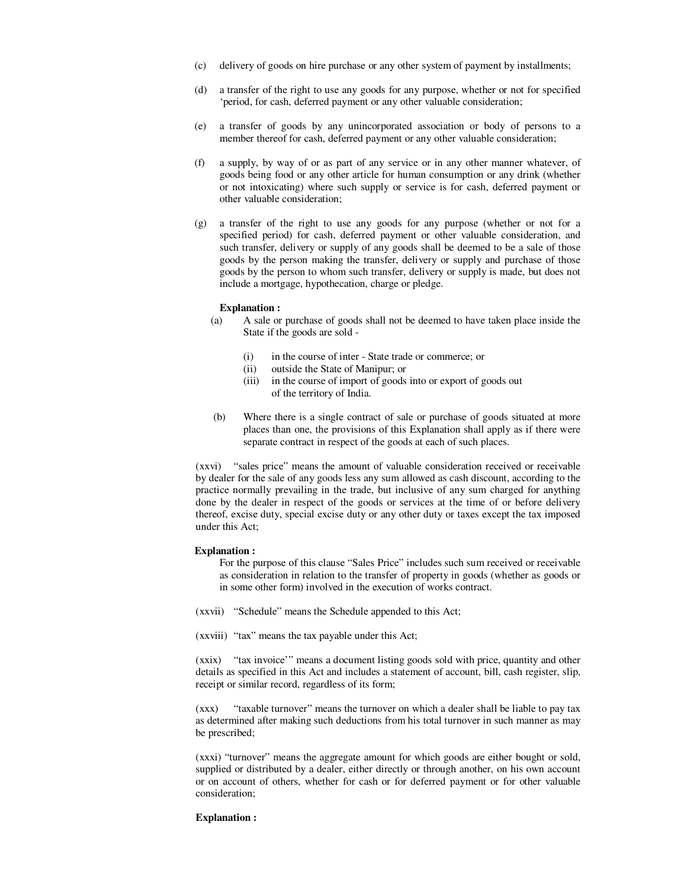- (c) delivery of goods on hire purchase or any other system of payment by installments;
- (d) a transfer of the right to use any goods for any purpose, whether or not for specified 'period, for cash, deferred payment or any other valuable consideration;
- (e) a transfer of goods by any unincorporated association or body of persons to a member thereof for cash, deferred payment or any other valuable consideration;
- (f) a supply, by way of or as part of any service or in any other manner whatever, of goods being food or any other article for human consumption or any drink (whether or not intoxicating) where such supply or service is for cash, deferred payment or other valuable consideration;
- (g) a transfer of the right to use any goods for any purpose (whether or not for a specified period) for cash, deferred payment or other valuable consideration, and such transfer, delivery or supply of any goods shall be deemed to be a sale of those goods by the person making the transfer, delivery or supply and purchase of those goods by the person to whom such transfer, delivery or supply is made, but does not include a mortgage, hypothecation, charge or pledge.

#### **Explanation :**

- (a) A sale or purchase of goods shall not be deemed to have taken place inside the State if the goods are sold -
	- (i) in the course of inter State trade or commerce; or
	- (ii) outside the State of Manipur; or
	- (iii) in the course of import of goods into or export of goods out of the territory of India.
- (b) Where there is a single contract of sale or purchase of goods situated at more places than one, the provisions of this Explanation shall apply as if there were separate contract in respect of the goods at each of such places.

 (xxvi) "sales price" means the amount of valuable consideration received or receivable by dealer for the sale of any goods less any sum allowed as cash discount, according to the practice normally prevailing in the trade, but inclusive of any sum charged for anything done by the dealer in respect of the goods or services at the time of or before delivery thereof, excise duty, special excise duty or any other duty or taxes except the tax imposed under this Act;

#### **Explanation :**

For the purpose of this clause "Sales Price" includes such sum received or receivable as consideration in relation to the transfer of property in goods (whether as goods or in some other form) involved in the execution of works contract.

(xxvii) "Schedule" means the Schedule appended to this Act;

(xxviii) "tax" means the tax payable under this Act;

 (xxix) "tax invoice'" means a document listing goods sold with price, quantity and other details as specified in this Act and includes a statement of account, bill, cash register, slip, receipt or similar record, regardless of its form;

 (xxx) "taxable turnover" means the turnover on which a dealer shall be liable to pay tax as determined after making such deductions from his total turnover in such manner as may be prescribed;

 (xxxi) "turnover" means the aggregate amount for which goods are either bought or sold, supplied or distributed by a dealer, either directly or through another, on his own account or on account of others, whether for cash or for deferred payment or for other valuable consideration;

#### **Explanation :**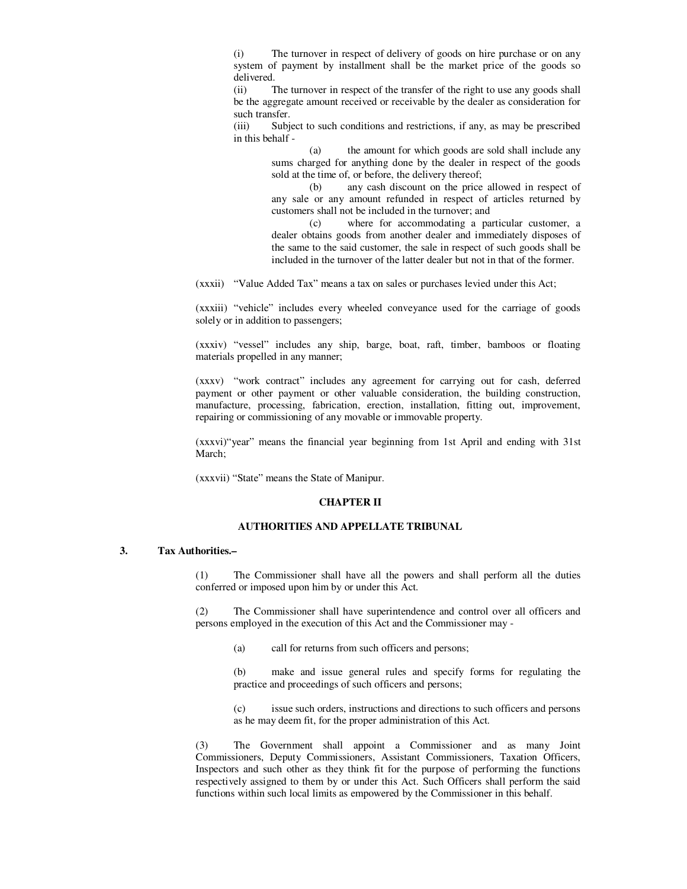(i) The turnover in respect of delivery of goods on hire purchase or on any system of payment by installment shall be the market price of the goods so delivered.

 (ii) The turnover in respect of the transfer of the right to use any goods shall be the aggregate amount received or receivable by the dealer as consideration for such transfer.<br>(iii) Subie

Subject to such conditions and restrictions, if any, as may be prescribed in this behalf -

> (a) the amount for which goods are sold shall include any sums charged for anything done by the dealer in respect of the goods sold at the time of, or before, the delivery thereof;

> (b) any cash discount on the price allowed in respect of any sale or any amount refunded in respect of articles returned by customers shall not be included in the turnover; and

> (c) where for accommodating a particular customer, a dealer obtains goods from another dealer and immediately disposes of the same to the said customer, the sale in respect of such goods shall be included in the turnover of the latter dealer but not in that of the former.

(xxxii) "Value Added Tax" means a tax on sales or purchases levied under this Act;

 (xxxiii) "vehicle" includes every wheeled conveyance used for the carriage of goods solely or in addition to passengers;

 (xxxiv) "vessel" includes any ship, barge, boat, raft, timber, bamboos or floating materials propelled in any manner;

 (xxxv) "work contract" includes any agreement for carrying out for cash, deferred payment or other payment or other valuable consideration, the building construction, manufacture, processing, fabrication, erection, installation, fitting out, improvement, repairing or commissioning of any movable or immovable property.

 (xxxvi)"year" means the financial year beginning from 1st April and ending with 31st March:

(xxxvii) "State" means the State of Manipur.

#### **CHAPTER II**

### **AUTHORITIES AND APPELLATE TRIBUNAL**

### **3. Tax Authorities.–**

 (1) The Commissioner shall have all the powers and shall perform all the duties conferred or imposed upon him by or under this Act.

 (2) The Commissioner shall have superintendence and control over all officers and persons employed in the execution of this Act and the Commissioner may -

(a) call for returns from such officers and persons;

 (b) make and issue general rules and specify forms for regulating the practice and proceedings of such officers and persons;

 (c) issue such orders, instructions and directions to such officers and persons as he may deem fit, for the proper administration of this Act.

 (3) The Government shall appoint a Commissioner and as many Joint Commissioners, Deputy Commissioners, Assistant Commissioners, Taxation Officers, Inspectors and such other as they think fit for the purpose of performing the functions respectively assigned to them by or under this Act. Such Officers shall perform the said functions within such local limits as empowered by the Commissioner in this behalf.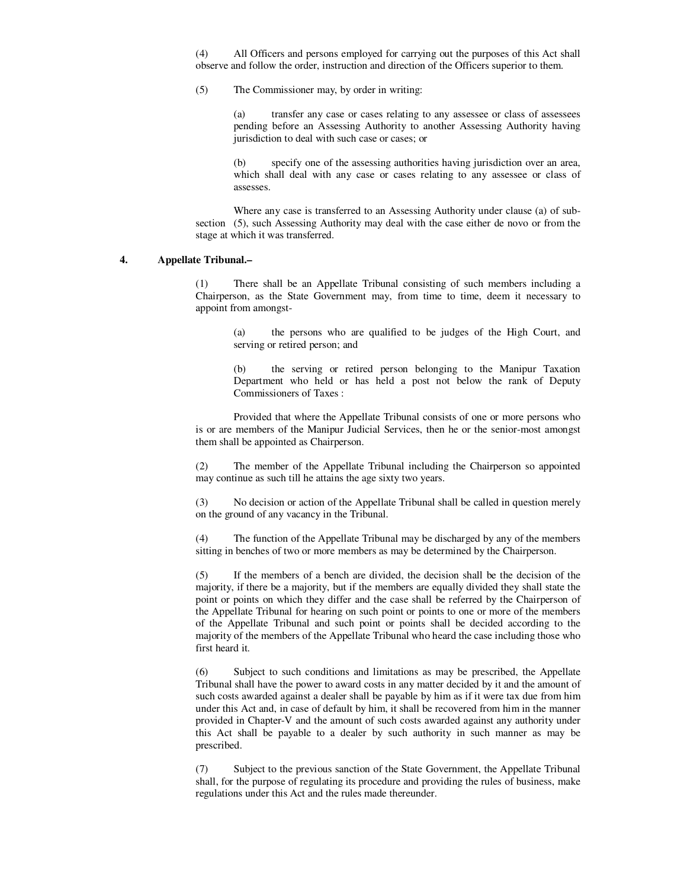(4) All Officers and persons employed for carrying out the purposes of this Act shall observe and follow the order, instruction and direction of the Officers superior to them.

(5) The Commissioner may, by order in writing:

 (a) transfer any case or cases relating to any assessee or class of assessees pending before an Assessing Authority to another Assessing Authority having jurisdiction to deal with such case or cases; or

specify one of the assessing authorities having jurisdiction over an area, which shall deal with any case or cases relating to any assessee or class of assesses.

 Where any case is transferred to an Assessing Authority under clause (a) of subsection (5), such Assessing Authority may deal with the case either de novo or from the stage at which it was transferred.

## **4. Appellate Tribunal.–**

 (1) There shall be an Appellate Tribunal consisting of such members including a Chairperson, as the State Government may, from time to time, deem it necessary to appoint from amongst-

 (a) the persons who are qualified to be judges of the High Court, and serving or retired person; and

 (b) the serving or retired person belonging to the Manipur Taxation Department who held or has held a post not below the rank of Deputy Commissioners of Taxes :

 Provided that where the Appellate Tribunal consists of one or more persons who is or are members of the Manipur Judicial Services, then he or the senior-most amongst them shall be appointed as Chairperson.

 (2) The member of the Appellate Tribunal including the Chairperson so appointed may continue as such till he attains the age sixty two years.

 (3) No decision or action of the Appellate Tribunal shall be called in question merely on the ground of any vacancy in the Tribunal.

 (4) The function of the Appellate Tribunal may be discharged by any of the members sitting in benches of two or more members as may be determined by the Chairperson.

 (5) If the members of a bench are divided, the decision shall be the decision of the majority, if there be a majority, but if the members are equally divided they shall state the point or points on which they differ and the case shall be referred by the Chairperson of the Appellate Tribunal for hearing on such point or points to one or more of the members of the Appellate Tribunal and such point or points shall be decided according to the majority of the members of the Appellate Tribunal who heard the case including those who first heard it.

 (6) Subject to such conditions and limitations as may be prescribed, the Appellate Tribunal shall have the power to award costs in any matter decided by it and the amount of such costs awarded against a dealer shall be payable by him as if it were tax due from him under this Act and, in case of default by him, it shall be recovered from him in the manner provided in Chapter-V and the amount of such costs awarded against any authority under this Act shall be payable to a dealer by such authority in such manner as may be prescribed.

 (7) Subject to the previous sanction of the State Government, the Appellate Tribunal shall, for the purpose of regulating its procedure and providing the rules of business, make regulations under this Act and the rules made thereunder.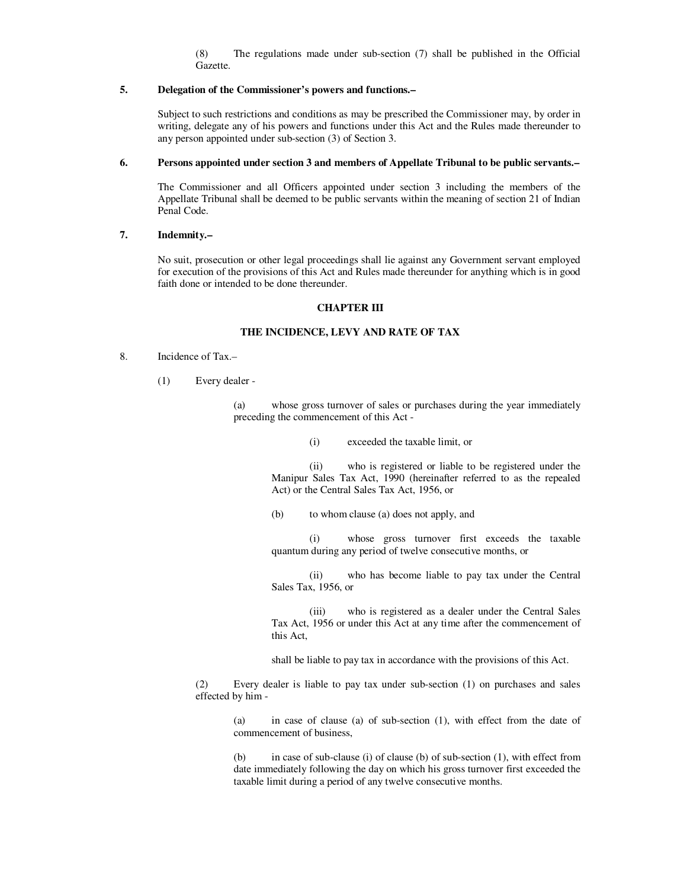(8) The regulations made under sub-section (7) shall be published in the Official Gazette.

## **5. Delegation of the Commissioner's powers and functions.–**

 Subject to such restrictions and conditions as may be prescribed the Commissioner may, by order in writing, delegate any of his powers and functions under this Act and the Rules made thereunder to any person appointed under sub-section (3) of Section 3.

### **6. Persons appointed under section 3 and members of Appellate Tribunal to be public servants.–**

 The Commissioner and all Officers appointed under section 3 including the members of the Appellate Tribunal shall be deemed to be public servants within the meaning of section 21 of Indian Penal Code.

### **7. Indemnity.–**

 No suit, prosecution or other legal proceedings shall lie against any Government servant employed for execution of the provisions of this Act and Rules made thereunder for anything which is in good faith done or intended to be done thereunder.

### **CHAPTER III**

# **THE INCIDENCE, LEVY AND RATE OF TAX**

- 8. Incidence of Tax.–
	- (1) Every dealer -

 (a) whose gross turnover of sales or purchases during the year immediately preceding the commencement of this Act -

(i) exceeded the taxable limit, or

 (ii) who is registered or liable to be registered under the Manipur Sales Tax Act, 1990 (hereinafter referred to as the repealed Act) or the Central Sales Tax Act, 1956, or

(b) to whom clause (a) does not apply, and

 (i) whose gross turnover first exceeds the taxable quantum during any period of twelve consecutive months, or

 (ii) who has become liable to pay tax under the Central Sales Tax, 1956, or

 (iii) who is registered as a dealer under the Central Sales Tax Act, 1956 or under this Act at any time after the commencement of this Act,

shall be liable to pay tax in accordance with the provisions of this Act.

 (2) Every dealer is liable to pay tax under sub-section (1) on purchases and sales effected by him -

> (a) in case of clause (a) of sub-section (1), with effect from the date of commencement of business,

> (b) in case of sub-clause (i) of clause (b) of sub-section (1), with effect from date immediately following the day on which his gross turnover first exceeded the taxable limit during a period of any twelve consecutive months.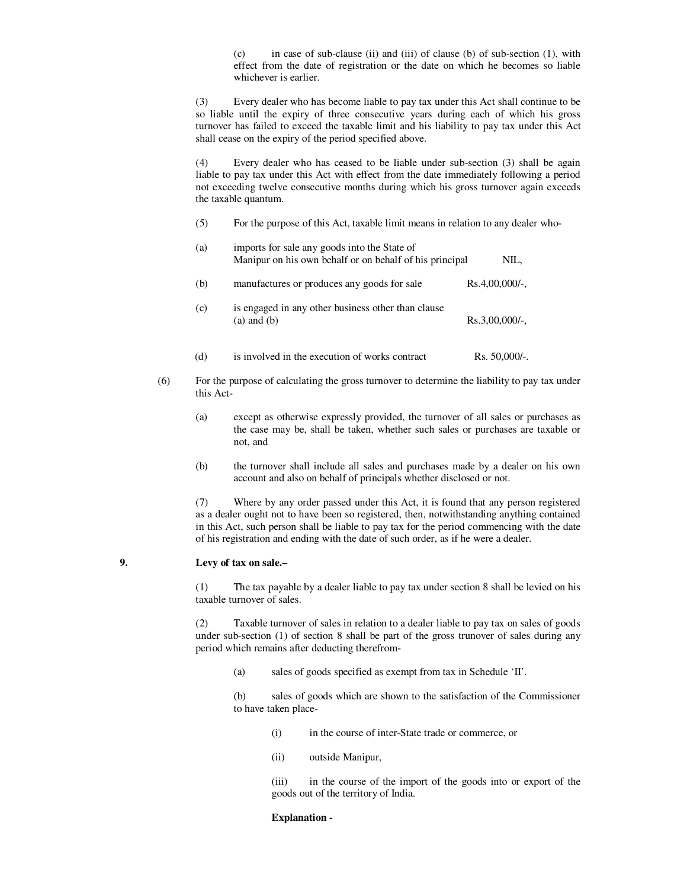(c) in case of sub-clause (ii) and (iii) of clause (b) of sub-section (1), with effect from the date of registration or the date on which he becomes so liable whichever is earlier.

 (3) Every dealer who has become liable to pay tax under this Act shall continue to be so liable until the expiry of three consecutive years during each of which his gross turnover has failed to exceed the taxable limit and his liability to pay tax under this Act shall cease on the expiry of the period specified above.

 (4) Every dealer who has ceased to be liable under sub-section (3) shall be again liable to pay tax under this Act with effect from the date immediately following a period not exceeding twelve consecutive months during which his gross turnover again exceeds the taxable quantum.

(5) For the purpose of this Act, taxable limit means in relation to any dealer who-

| (a) | imports for sale any goods into the State of<br>Manipur on his own behalf or on behalf of his principal | NIL.             |
|-----|---------------------------------------------------------------------------------------------------------|------------------|
| (b) | manufactures or produces any goods for sale                                                             | $Rs.4,00,000/-.$ |
| (c) | is engaged in any other business other than clause<br>$(a)$ and $(b)$                                   | $Rs.3,00,000/-.$ |
| (d) | is involved in the execution of works contract                                                          | Rs. $50,000/$ -. |

- (6) For the purpose of calculating the gross turnover to determine the liability to pay tax under this Act-
	- (a) except as otherwise expressly provided, the turnover of all sales or purchases as the case may be, shall be taken, whether such sales or purchases are taxable or not, and
	- (b) the turnover shall include all sales and purchases made by a dealer on his own account and also on behalf of principals whether disclosed or not.

 (7) Where by any order passed under this Act, it is found that any person registered as a dealer ought not to have been so registered, then, notwithstanding anything contained in this Act, such person shall be liable to pay tax for the period commencing with the date of his registration and ending with the date of such order, as if he were a dealer.

### **9. Levy of tax on sale.–**

 (1) The tax payable by a dealer liable to pay tax under section 8 shall be levied on his taxable turnover of sales.

 (2) Taxable turnover of sales in relation to a dealer liable to pay tax on sales of goods under sub-section (1) of section 8 shall be part of the gross trunover of sales during any period which remains after deducting therefrom-

(a) sales of goods specified as exempt from tax in Schedule 'II'.

 (b) sales of goods which are shown to the satisfaction of the Commissioner to have taken place-

- (i) in the course of inter-State trade or commerce, or
- (ii) outside Manipur,

 (iii) in the course of the import of the goods into or export of the goods out of the territory of India.

#### **Explanation -**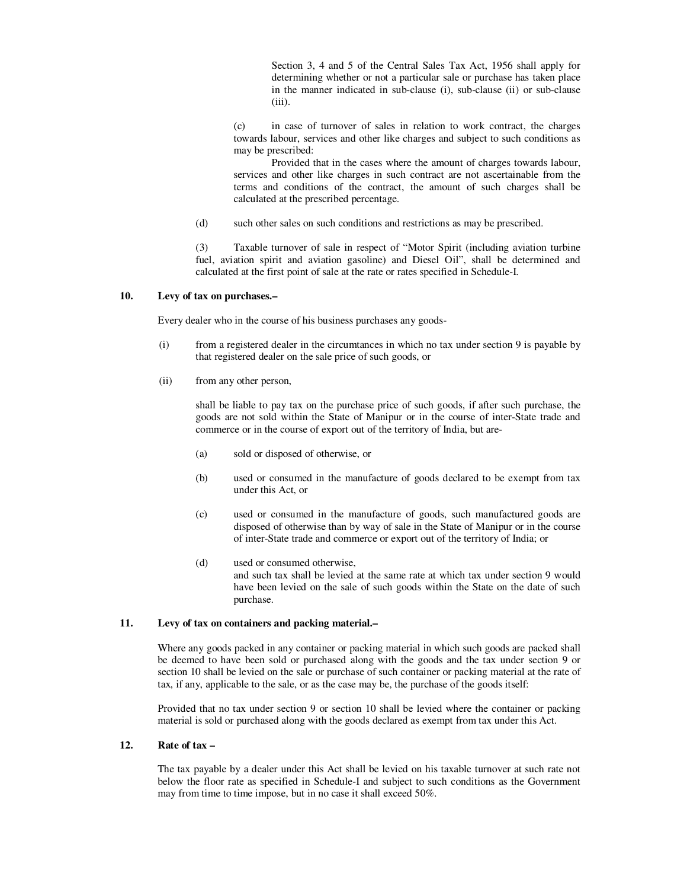Section 3, 4 and 5 of the Central Sales Tax Act, 1956 shall apply for determining whether or not a particular sale or purchase has taken place in the manner indicated in sub-clause (i), sub-clause (ii) or sub-clause (iii).

 (c) in case of turnover of sales in relation to work contract, the charges towards labour, services and other like charges and subject to such conditions as may be prescribed:

 Provided that in the cases where the amount of charges towards labour, services and other like charges in such contract are not ascertainable from the terms and conditions of the contract, the amount of such charges shall be calculated at the prescribed percentage.

(d) such other sales on such conditions and restrictions as may be prescribed.

 (3) Taxable turnover of sale in respect of "Motor Spirit (including aviation turbine fuel, aviation spirit and aviation gasoline) and Diesel Oil", shall be determined and calculated at the first point of sale at the rate or rates specified in Schedule-I.

### **10. Levy of tax on purchases.–**

Every dealer who in the course of his business purchases any goods-

- (i) from a registered dealer in the circumtances in which no tax under section 9 is payable by that registered dealer on the sale price of such goods, or
- (ii) from any other person,

 shall be liable to pay tax on the purchase price of such goods, if after such purchase, the goods are not sold within the State of Manipur or in the course of inter-State trade and commerce or in the course of export out of the territory of India, but are-

- (a) sold or disposed of otherwise, or
- (b) used or consumed in the manufacture of goods declared to be exempt from tax under this Act, or
- (c) used or consumed in the manufacture of goods, such manufactured goods are disposed of otherwise than by way of sale in the State of Manipur or in the course of inter-State trade and commerce or export out of the territory of India; or
- (d) used or consumed otherwise, and such tax shall be levied at the same rate at which tax under section 9 would have been levied on the sale of such goods within the State on the date of such purchase.

# **11. Levy of tax on containers and packing material.–**

 Where any goods packed in any container or packing material in which such goods are packed shall be deemed to have been sold or purchased along with the goods and the tax under section 9 or section 10 shall be levied on the sale or purchase of such container or packing material at the rate of tax, if any, applicable to the sale, or as the case may be, the purchase of the goods itself:

 Provided that no tax under section 9 or section 10 shall be levied where the container or packing material is sold or purchased along with the goods declared as exempt from tax under this Act.

## **12. Rate of tax –**

 The tax payable by a dealer under this Act shall be levied on his taxable turnover at such rate not below the floor rate as specified in Schedule-I and subject to such conditions as the Government may from time to time impose, but in no case it shall exceed 50%.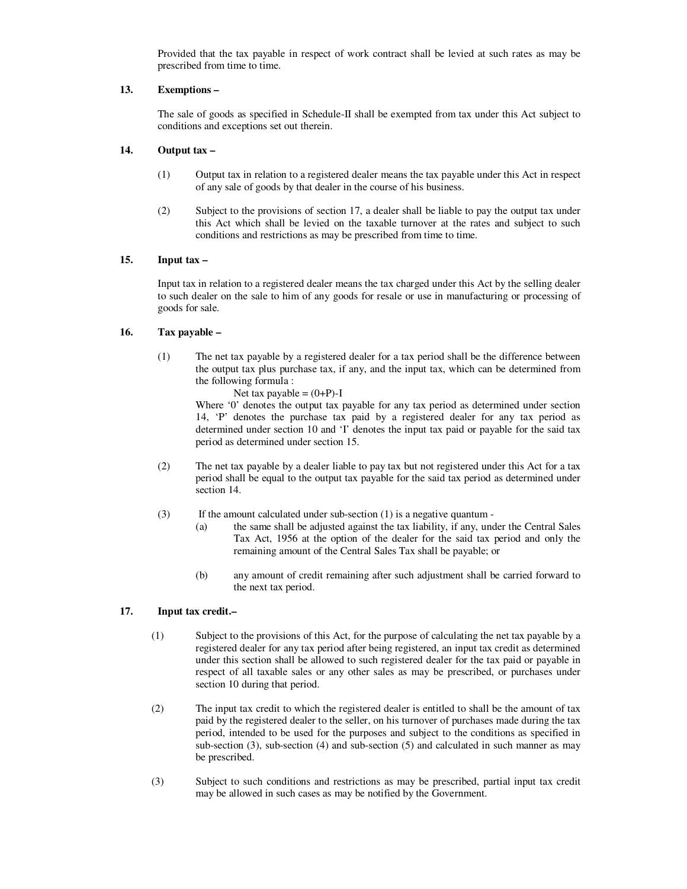Provided that the tax payable in respect of work contract shall be levied at such rates as may be prescribed from time to time.

# **13. Exemptions –**

 The sale of goods as specified in Schedule-II shall be exempted from tax under this Act subject to conditions and exceptions set out therein.

# **14. Output tax –**

- (1) Output tax in relation to a registered dealer means the tax payable under this Act in respect of any sale of goods by that dealer in the course of his business.
- (2) Subject to the provisions of section 17, a dealer shall be liable to pay the output tax under this Act which shall be levied on the taxable turnover at the rates and subject to such conditions and restrictions as may be prescribed from time to time.

# **15. Input tax –**

 Input tax in relation to a registered dealer means the tax charged under this Act by the selling dealer to such dealer on the sale to him of any goods for resale or use in manufacturing or processing of goods for sale.

# **16. Tax payable –**

(1) The net tax payable by a registered dealer for a tax period shall be the difference between the output tax plus purchase tax, if any, and the input tax, which can be determined from the following formula :

Net tax payable =  $(0+P)$ -I

Where '0' denotes the output tax payable for any tax period as determined under section 14, 'P' denotes the purchase tax paid by a registered dealer for any tax period as determined under section 10 and 'I' denotes the input tax paid or payable for the said tax period as determined under section 15.

- (2) The net tax payable by a dealer liable to pay tax but not registered under this Act for a tax period shall be equal to the output tax payable for the said tax period as determined under section 14.
- $(3)$  If the amount calculated under sub-section  $(1)$  is a negative quantum -
	- (a) the same shall be adjusted against the tax liability, if any, under the Central Sales Tax Act, 1956 at the option of the dealer for the said tax period and only the remaining amount of the Central Sales Tax shall be payable; or
	- (b) any amount of credit remaining after such adjustment shall be carried forward to the next tax period.

# **17. Input tax credit.–**

- (1) Subject to the provisions of this Act, for the purpose of calculating the net tax payable by a registered dealer for any tax period after being registered, an input tax credit as determined under this section shall be allowed to such registered dealer for the tax paid or payable in respect of all taxable sales or any other sales as may be prescribed, or purchases under section 10 during that period.
- (2) The input tax credit to which the registered dealer is entitled to shall be the amount of tax paid by the registered dealer to the seller, on his turnover of purchases made during the tax period, intended to be used for the purposes and subject to the conditions as specified in sub-section (3), sub-section (4) and sub-section (5) and calculated in such manner as may be prescribed.
- (3) Subject to such conditions and restrictions as may be prescribed, partial input tax credit may be allowed in such cases as may be notified by the Government.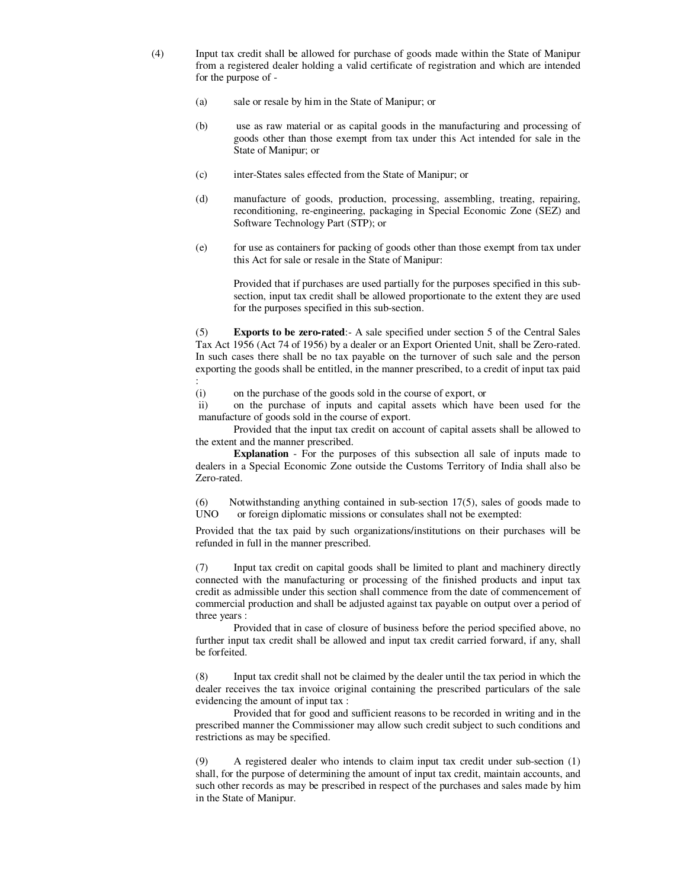- (4) Input tax credit shall be allowed for purchase of goods made within the State of Manipur from a registered dealer holding a valid certificate of registration and which are intended for the purpose of -
	- (a) sale or resale by him in the State of Manipur; or
	- (b) use as raw material or as capital goods in the manufacturing and processing of goods other than those exempt from tax under this Act intended for sale in the State of Manipur; or
	- (c) inter-States sales effected from the State of Manipur; or
	- (d) manufacture of goods, production, processing, assembling, treating, repairing, reconditioning, re-engineering, packaging in Special Economic Zone (SEZ) and Software Technology Part (STP); or
	- (e) for use as containers for packing of goods other than those exempt from tax under this Act for sale or resale in the State of Manipur:

 Provided that if purchases are used partially for the purposes specified in this subsection, input tax credit shall be allowed proportionate to the extent they are used for the purposes specified in this sub-section.

 (5) **Exports to be zero-rated**:- A sale specified under section 5 of the Central Sales Tax Act 1956 (Act 74 of 1956) by a dealer or an Export Oriented Unit, shall be Zero-rated. In such cases there shall be no tax payable on the turnover of such sale and the person exporting the goods shall be entitled, in the manner prescribed, to a credit of input tax paid :

(i) on the purchase of the goods sold in the course of export, or

 ii) on the purchase of inputs and capital assets which have been used for the manufacture of goods sold in the course of export.

 Provided that the input tax credit on account of capital assets shall be allowed to the extent and the manner prescribed.

**Explanation** - For the purposes of this subsection all sale of inputs made to dealers in a Special Economic Zone outside the Customs Territory of India shall also be Zero-rated.

(6) Notwithstanding anything contained in sub-section  $17(5)$ , sales of goods made to UNO or foreign diplomatic missions or consulates shall not be exempted: or foreign diplomatic missions or consulates shall not be exempted:

 Provided that the tax paid by such organizations/institutions on their purchases will be refunded in full in the manner prescribed.

 (7) Input tax credit on capital goods shall be limited to plant and machinery directly connected with the manufacturing or processing of the finished products and input tax credit as admissible under this section shall commence from the date of commencement of commercial production and shall be adjusted against tax payable on output over a period of three years :

 Provided that in case of closure of business before the period specified above, no further input tax credit shall be allowed and input tax credit carried forward, if any, shall be forfeited.

 (8) Input tax credit shall not be claimed by the dealer until the tax period in which the dealer receives the tax invoice original containing the prescribed particulars of the sale evidencing the amount of input tax :

 Provided that for good and sufficient reasons to be recorded in writing and in the prescribed manner the Commissioner may allow such credit subject to such conditions and restrictions as may be specified.

 (9) A registered dealer who intends to claim input tax credit under sub-section (1) shall, for the purpose of determining the amount of input tax credit, maintain accounts, and such other records as may be prescribed in respect of the purchases and sales made by him in the State of Manipur.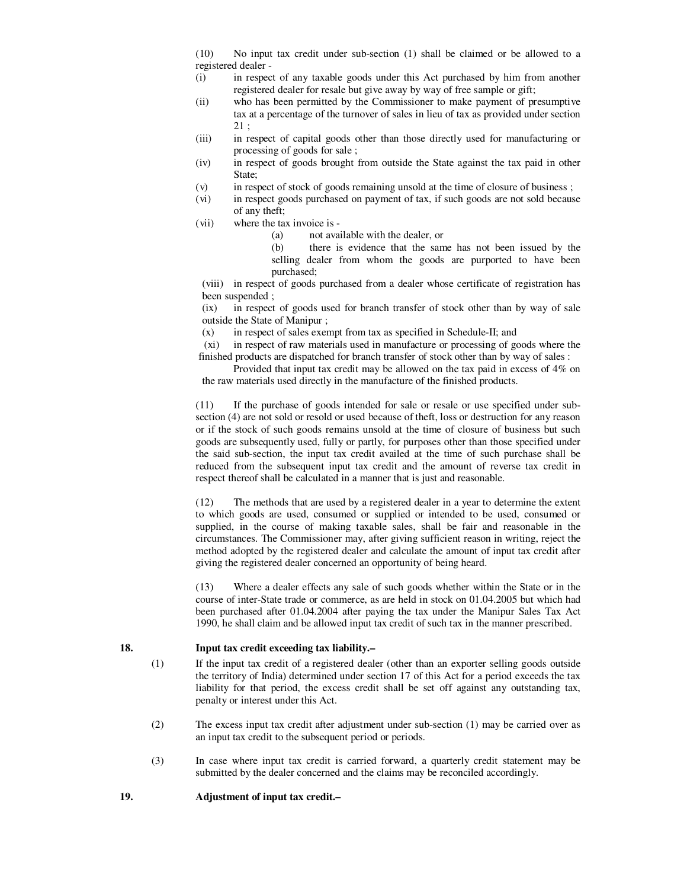(10) No input tax credit under sub-section (1) shall be claimed or be allowed to a registered dealer -

- (i) in respect of any taxable goods under this Act purchased by him from another registered dealer for resale but give away by way of free sample or gift;
- (ii) who has been permitted by the Commissioner to make payment of presumptive tax at a percentage of the turnover of sales in lieu of tax as provided under section 21 ;
- (iii) in respect of capital goods other than those directly used for manufacturing or processing of goods for sale ;
- (iv) in respect of goods brought from outside the State against the tax paid in other State;
- (v) in respect of stock of goods remaining unsold at the time of closure of business ;
- (vi) in respect goods purchased on payment of tax, if such goods are not sold because of any theft;
- (vii) where the tax invoice is
	- (a) not available with the dealer, or
	- (b) there is evidence that the same has not been issued by the selling dealer from whom the goods are purported to have been purchased;

 (viii) in respect of goods purchased from a dealer whose certificate of registration has been suspended ;

 (ix) in respect of goods used for branch transfer of stock other than by way of sale outside the State of Manipur ;

(x) in respect of sales exempt from tax as specified in Schedule-II; and

 (xi) in respect of raw materials used in manufacture or processing of goods where the finished products are dispatched for branch transfer of stock other than by way of sales :

 Provided that input tax credit may be allowed on the tax paid in excess of 4% on the raw materials used directly in the manufacture of the finished products.

 (11) If the purchase of goods intended for sale or resale or use specified under subsection (4) are not sold or resold or used because of theft, loss or destruction for any reason or if the stock of such goods remains unsold at the time of closure of business but such goods are subsequently used, fully or partly, for purposes other than those specified under the said sub-section, the input tax credit availed at the time of such purchase shall be reduced from the subsequent input tax credit and the amount of reverse tax credit in respect thereof shall be calculated in a manner that is just and reasonable.

 (12) The methods that are used by a registered dealer in a year to determine the extent to which goods are used, consumed or supplied or intended to be used, consumed or supplied, in the course of making taxable sales, shall be fair and reasonable in the circumstances. The Commissioner may, after giving sufficient reason in writing, reject the method adopted by the registered dealer and calculate the amount of input tax credit after giving the registered dealer concerned an opportunity of being heard.

 (13) Where a dealer effects any sale of such goods whether within the State or in the course of inter-State trade or commerce, as are held in stock on 01.04.2005 but which had been purchased after 01.04.2004 after paying the tax under the Manipur Sales Tax Act 1990, he shall claim and be allowed input tax credit of such tax in the manner prescribed.

## **18. Input tax credit exceeding tax liability.–**

- (1) If the input tax credit of a registered dealer (other than an exporter selling goods outside the territory of India) determined under section 17 of this Act for a period exceeds the tax liability for that period, the excess credit shall be set off against any outstanding tax, penalty or interest under this Act.
- (2) The excess input tax credit after adjustment under sub-section (1) may be carried over as an input tax credit to the subsequent period or periods.
- (3) In case where input tax credit is carried forward, a quarterly credit statement may be submitted by the dealer concerned and the claims may be reconciled accordingly.

### **19. Adjustment of input tax credit.–**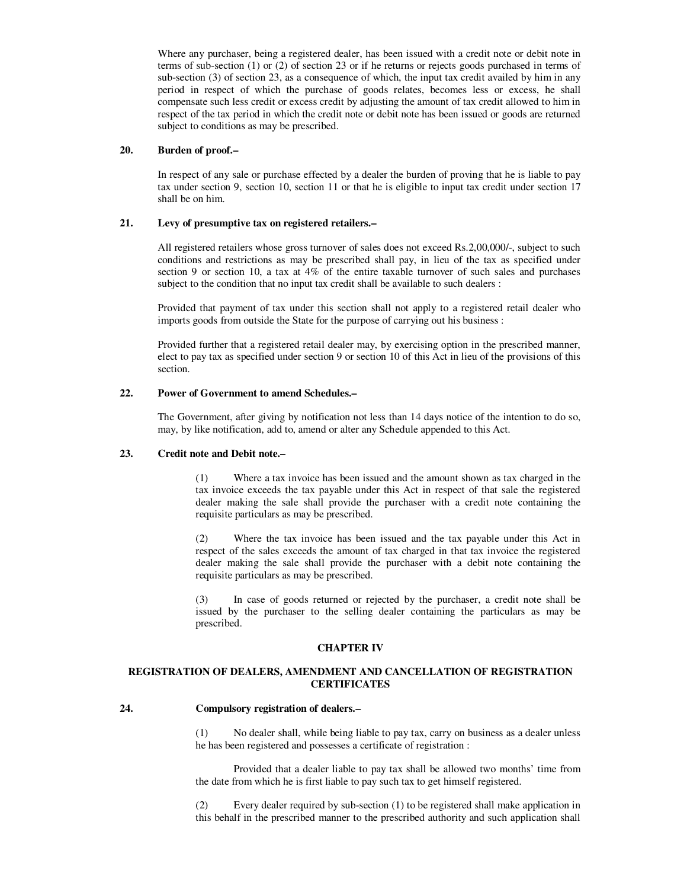Where any purchaser, being a registered dealer, has been issued with a credit note or debit note in terms of sub-section (1) or (2) of section 23 or if he returns or rejects goods purchased in terms of sub-section (3) of section 23, as a consequence of which, the input tax credit availed by him in any period in respect of which the purchase of goods relates, becomes less or excess, he shall compensate such less credit or excess credit by adjusting the amount of tax credit allowed to him in respect of the tax period in which the credit note or debit note has been issued or goods are returned subject to conditions as may be prescribed.

#### **20. Burden of proof.–**

 In respect of any sale or purchase effected by a dealer the burden of proving that he is liable to pay tax under section 9, section 10, section 11 or that he is eligible to input tax credit under section 17 shall be on him.

## **21. Levy of presumptive tax on registered retailers.–**

 All registered retailers whose gross turnover of sales does not exceed Rs.2,00,000/-, subject to such conditions and restrictions as may be prescribed shall pay, in lieu of the tax as specified under section 9 or section 10, a tax at 4% of the entire taxable turnover of such sales and purchases subject to the condition that no input tax credit shall be available to such dealers :

 Provided that payment of tax under this section shall not apply to a registered retail dealer who imports goods from outside the State for the purpose of carrying out his business :

 Provided further that a registered retail dealer may, by exercising option in the prescribed manner, elect to pay tax as specified under section 9 or section 10 of this Act in lieu of the provisions of this section.

## **22. Power of Government to amend Schedules.–**

 The Government, after giving by notification not less than 14 days notice of the intention to do so, may, by like notification, add to, amend or alter any Schedule appended to this Act.

#### **23. Credit note and Debit note.–**

 (1) Where a tax invoice has been issued and the amount shown as tax charged in the tax invoice exceeds the tax payable under this Act in respect of that sale the registered dealer making the sale shall provide the purchaser with a credit note containing the requisite particulars as may be prescribed.

 (2) Where the tax invoice has been issued and the tax payable under this Act in respect of the sales exceeds the amount of tax charged in that tax invoice the registered dealer making the sale shall provide the purchaser with a debit note containing the requisite particulars as may be prescribed.

 (3) In case of goods returned or rejected by the purchaser, a credit note shall be issued by the purchaser to the selling dealer containing the particulars as may be prescribed.

### **CHAPTER IV**

### **REGISTRATION OF DEALERS, AMENDMENT AND CANCELLATION OF REGISTRATION CERTIFICATES**

#### **24. Compulsory registration of dealers.–**

 (1) No dealer shall, while being liable to pay tax, carry on business as a dealer unless he has been registered and possesses a certificate of registration :

 Provided that a dealer liable to pay tax shall be allowed two months' time from the date from which he is first liable to pay such tax to get himself registered.

 (2) Every dealer required by sub-section (1) to be registered shall make application in this behalf in the prescribed manner to the prescribed authority and such application shall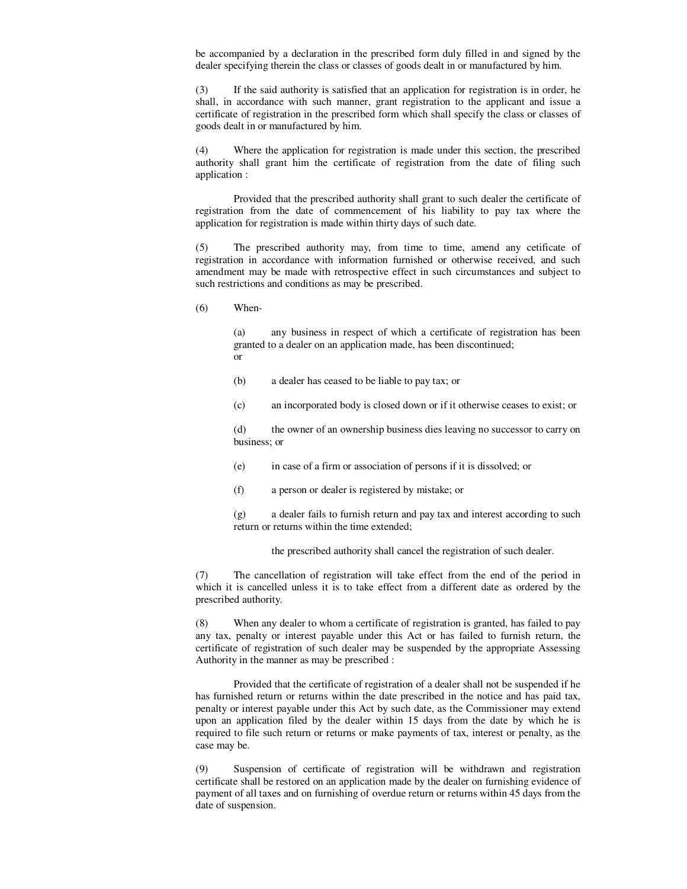be accompanied by a declaration in the prescribed form duly filled in and signed by the dealer specifying therein the class or classes of goods dealt in or manufactured by him.

 (3) If the said authority is satisfied that an application for registration is in order, he shall, in accordance with such manner, grant registration to the applicant and issue a certificate of registration in the prescribed form which shall specify the class or classes of goods dealt in or manufactured by him.

 (4) Where the application for registration is made under this section, the prescribed authority shall grant him the certificate of registration from the date of filing such application :

 Provided that the prescribed authority shall grant to such dealer the certificate of registration from the date of commencement of his liability to pay tax where the application for registration is made within thirty days of such date.

 (5) The prescribed authority may, from time to time, amend any cetificate of registration in accordance with information furnished or otherwise received, and such amendment may be made with retrospective effect in such circumstances and subject to such restrictions and conditions as may be prescribed.

(6) When-

 (a) any business in respect of which a certificate of registration has been granted to a dealer on an application made, has been discontinued; or

- (b) a dealer has ceased to be liable to pay tax; or
- (c) an incorporated body is closed down or if it otherwise ceases to exist; or

 (d) the owner of an ownership business dies leaving no successor to carry on business; or

- (e) in case of a firm or association of persons if it is dissolved; or
- (f) a person or dealer is registered by mistake; or

 (g) a dealer fails to furnish return and pay tax and interest according to such return or returns within the time extended;

the prescribed authority shall cancel the registration of such dealer.

 (7) The cancellation of registration will take effect from the end of the period in which it is cancelled unless it is to take effect from a different date as ordered by the prescribed authority.

 (8) When any dealer to whom a certificate of registration is granted, has failed to pay any tax, penalty or interest payable under this Act or has failed to furnish return, the certificate of registration of such dealer may be suspended by the appropriate Assessing Authority in the manner as may be prescribed :

 Provided that the certificate of registration of a dealer shall not be suspended if he has furnished return or returns within the date prescribed in the notice and has paid tax, penalty or interest payable under this Act by such date, as the Commissioner may extend upon an application filed by the dealer within 15 days from the date by which he is required to file such return or returns or make payments of tax, interest or penalty, as the case may be.

 (9) Suspension of certificate of registration will be withdrawn and registration certificate shall be restored on an application made by the dealer on furnishing evidence of payment of all taxes and on furnishing of overdue return or returns within 45 days from the date of suspension.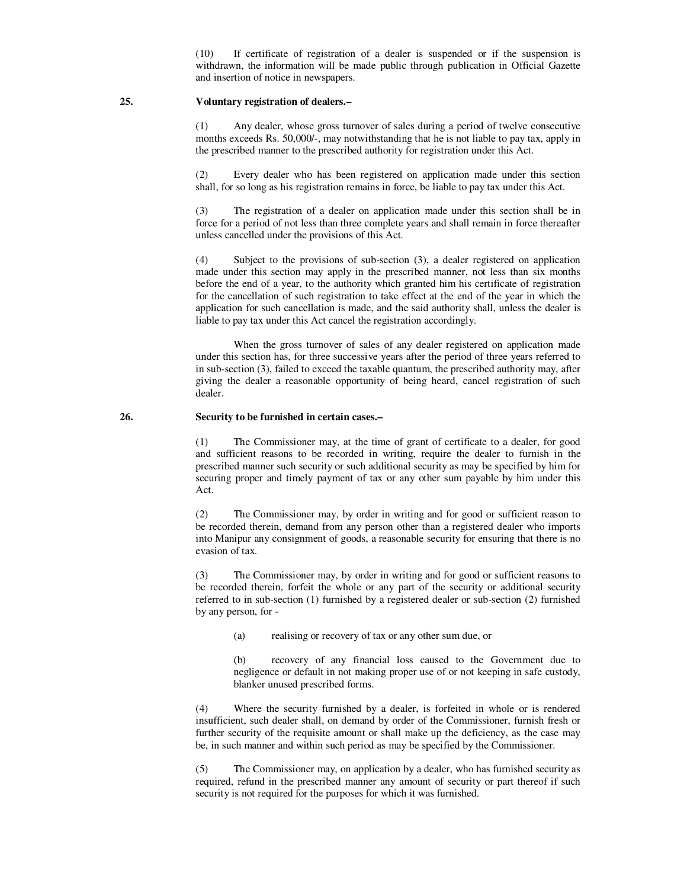(10) If certificate of registration of a dealer is suspended or if the suspension is withdrawn, the information will be made public through publication in Official Gazette and insertion of notice in newspapers.

#### **25. Voluntary registration of dealers.–**

 (1) Any dealer, whose gross turnover of sales during a period of twelve consecutive months exceeds Rs. 50,000/-, may notwithstanding that he is not liable to pay tax, apply in the prescribed manner to the prescribed authority for registration under this Act.

 (2) Every dealer who has been registered on application made under this section shall, for so long as his registration remains in force, be liable to pay tax under this Act.

 (3) The registration of a dealer on application made under this section shall be in force for a period of not less than three complete years and shall remain in force thereafter unless cancelled under the provisions of this Act.

 (4) Subject to the provisions of sub-section (3), a dealer registered on application made under this section may apply in the prescribed manner, not less than six months before the end of a year, to the authority which granted him his certificate of registration for the cancellation of such registration to take effect at the end of the year in which the application for such cancellation is made, and the said authority shall, unless the dealer is liable to pay tax under this Act cancel the registration accordingly.

 When the gross turnover of sales of any dealer registered on application made under this section has, for three successive years after the period of three years referred to in sub-section (3), failed to exceed the taxable quantum, the prescribed authority may, after giving the dealer a reasonable opportunity of being heard, cancel registration of such dealer.

#### **26. Security to be furnished in certain cases.–**

 (1) The Commissioner may, at the time of grant of certificate to a dealer, for good and sufficient reasons to be recorded in writing, require the dealer to furnish in the prescribed manner such security or such additional security as may be specified by him for securing proper and timely payment of tax or any other sum payable by him under this Act.

 (2) The Commissioner may, by order in writing and for good or sufficient reason to be recorded therein, demand from any person other than a registered dealer who imports into Manipur any consignment of goods, a reasonable security for ensuring that there is no evasion of tax.

 (3) The Commissioner may, by order in writing and for good or sufficient reasons to be recorded therein, forfeit the whole or any part of the security or additional security referred to in sub-section (1) furnished by a registered dealer or sub-section (2) furnished by any person, for -

(a) realising or recovery of tax or any other sum due, or

 (b) recovery of any financial loss caused to the Government due to negligence or default in not making proper use of or not keeping in safe custody, blanker unused prescribed forms.

 (4) Where the security furnished by a dealer, is forfeited in whole or is rendered insufficient, such dealer shall, on demand by order of the Commissioner, furnish fresh or further security of the requisite amount or shall make up the deficiency, as the case may be, in such manner and within such period as may be specified by the Commissioner.

 (5) The Commissioner may, on application by a dealer, who has furnished security as required, refund in the prescribed manner any amount of security or part thereof if such security is not required for the purposes for which it was furnished.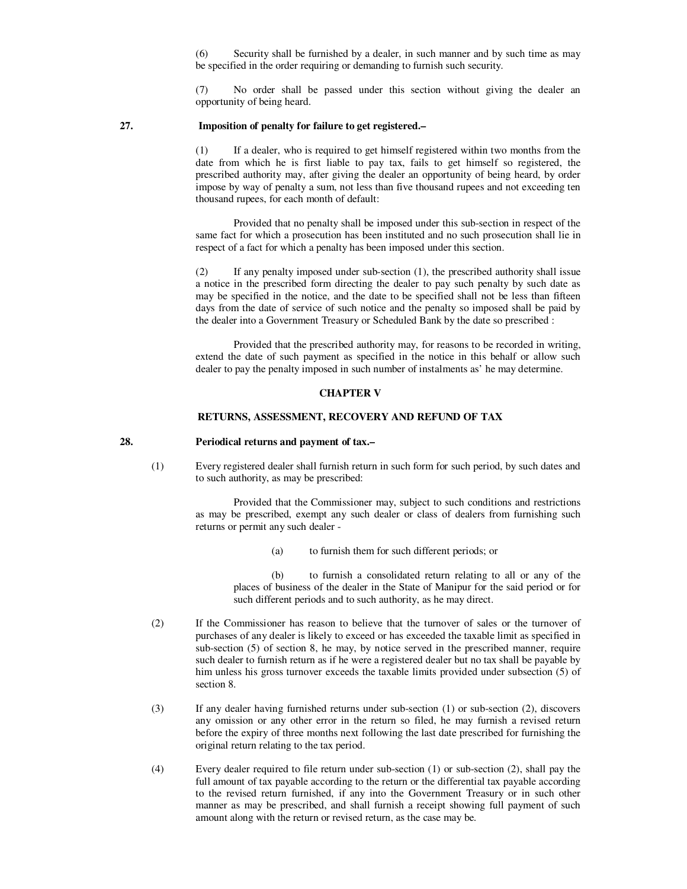(6) Security shall be furnished by a dealer, in such manner and by such time as may be specified in the order requiring or demanding to furnish such security.

 (7) No order shall be passed under this section without giving the dealer an opportunity of being heard.

## **27. Imposition of penalty for failure to get registered.–**

 (1) If a dealer, who is required to get himself registered within two months from the date from which he is first liable to pay tax, fails to get himself so registered, the prescribed authority may, after giving the dealer an opportunity of being heard, by order impose by way of penalty a sum, not less than five thousand rupees and not exceeding ten thousand rupees, for each month of default:

 Provided that no penalty shall be imposed under this sub-section in respect of the same fact for which a prosecution has been instituted and no such prosecution shall lie in respect of a fact for which a penalty has been imposed under this section.

 (2) If any penalty imposed under sub-section (1), the prescribed authority shall issue a notice in the prescribed form directing the dealer to pay such penalty by such date as may be specified in the notice, and the date to be specified shall not be less than fifteen days from the date of service of such notice and the penalty so imposed shall be paid by the dealer into a Government Treasury or Scheduled Bank by the date so prescribed :

 Provided that the prescribed authority may, for reasons to be recorded in writing, extend the date of such payment as specified in the notice in this behalf or allow such dealer to pay the penalty imposed in such number of instalments as' he may determine.

#### **CHAPTER V**

#### **RETURNS, ASSESSMENT, RECOVERY AND REFUND OF TAX**

#### **28. Periodical returns and payment of tax.–**

 (1) Every registered dealer shall furnish return in such form for such period, by such dates and to such authority, as may be prescribed:

> Provided that the Commissioner may, subject to such conditions and restrictions as may be prescribed, exempt any such dealer or class of dealers from furnishing such returns or permit any such dealer -

> > (a) to furnish them for such different periods; or

 (b) to furnish a consolidated return relating to all or any of the places of business of the dealer in the State of Manipur for the said period or for such different periods and to such authority, as he may direct.

- (2) If the Commissioner has reason to believe that the turnover of sales or the turnover of purchases of any dealer is likely to exceed or has exceeded the taxable limit as specified in sub-section (5) of section 8, he may, by notice served in the prescribed manner, require such dealer to furnish return as if he were a registered dealer but no tax shall be payable by him unless his gross turnover exceeds the taxable limits provided under subsection (5) of section 8.
- (3) If any dealer having furnished returns under sub-section (1) or sub-section (2), discovers any omission or any other error in the return so filed, he may furnish a revised return before the expiry of three months next following the last date prescribed for furnishing the original return relating to the tax period.
- (4) Every dealer required to file return under sub-section (1) or sub-section (2), shall pay the full amount of tax payable according to the return or the differential tax payable according to the revised return furnished, if any into the Government Treasury or in such other manner as may be prescribed, and shall furnish a receipt showing full payment of such amount along with the return or revised return, as the case may be.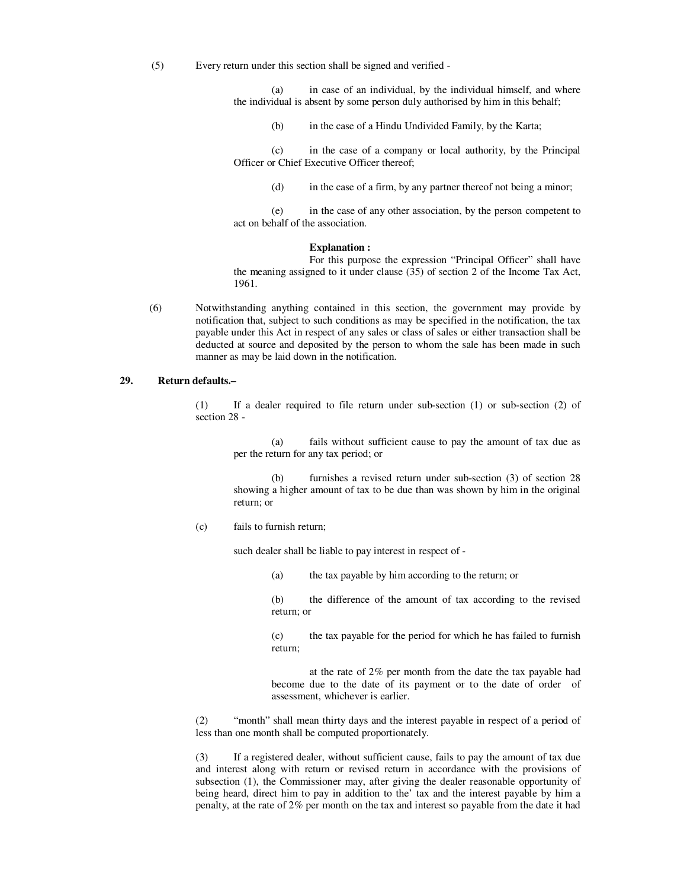(5) Every return under this section shall be signed and verified -

 (a) in case of an individual, by the individual himself, and where the individual is absent by some person duly authorised by him in this behalf;

(b) in the case of a Hindu Undivided Family, by the Karta;

 (c) in the case of a company or local authority, by the Principal Officer or Chief Executive Officer thereof;

(d) in the case of a firm, by any partner thereof not being a minor;

 (e) in the case of any other association, by the person competent to act on behalf of the association.

#### **Explanation :**

 For this purpose the expression "Principal Officer" shall have the meaning assigned to it under clause (35) of section 2 of the Income Tax Act, 1961.

 (6) Notwithstanding anything contained in this section, the government may provide by notification that, subject to such conditions as may be specified in the notification, the tax payable under this Act in respect of any sales or class of sales or either transaction shall be deducted at source and deposited by the person to whom the sale has been made in such manner as may be laid down in the notification.

## **29. Return defaults.–**

 (1) If a dealer required to file return under sub-section (1) or sub-section (2) of section 28 -

 (a) fails without sufficient cause to pay the amount of tax due as per the return for any tax period; or

 (b) furnishes a revised return under sub-section (3) of section 28 showing a higher amount of tax to be due than was shown by him in the original return; or

(c) fails to furnish return;

such dealer shall be liable to pay interest in respect of -

(a) the tax payable by him according to the return; or

 (b) the difference of the amount of tax according to the revised return; or

 (c) the tax payable for the period for which he has failed to furnish return;

 at the rate of 2% per month from the date the tax payable had become due to the date of its payment or to the date of order of assessment, whichever is earlier.

 (2) "month" shall mean thirty days and the interest payable in respect of a period of less than one month shall be computed proportionately.

 (3) If a registered dealer, without sufficient cause, fails to pay the amount of tax due and interest along with return or revised return in accordance with the provisions of subsection (1), the Commissioner may, after giving the dealer reasonable opportunity of being heard, direct him to pay in addition to the' tax and the interest payable by him a penalty, at the rate of 2% per month on the tax and interest so payable from the date it had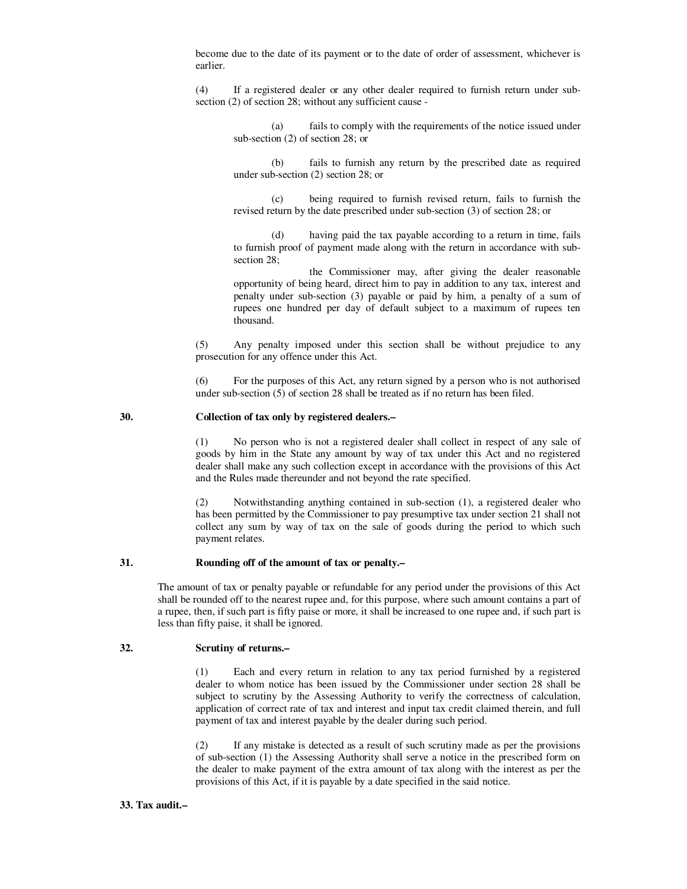become due to the date of its payment or to the date of order of assessment, whichever is earlier.

 (4) If a registered dealer or any other dealer required to furnish return under subsection (2) of section 28; without any sufficient cause -

 (a) fails to comply with the requirements of the notice issued under sub-section (2) of section 28; or

 (b) fails to furnish any return by the prescribed date as required under sub-section (2) section 28; or

 (c) being required to furnish revised return, fails to furnish the revised return by the date prescribed under sub-section (3) of section 28; or

 (d) having paid the tax payable according to a return in time, fails to furnish proof of payment made along with the return in accordance with subsection 28;

 the Commissioner may, after giving the dealer reasonable opportunity of being heard, direct him to pay in addition to any tax, interest and penalty under sub-section (3) payable or paid by him, a penalty of a sum of rupees one hundred per day of default subject to a maximum of rupees ten thousand.

 (5) Any penalty imposed under this section shall be without prejudice to any prosecution for any offence under this Act.

 (6) For the purposes of this Act, any return signed by a person who is not authorised under sub-section (5) of section 28 shall be treated as if no return has been filed.

#### **30. Collection of tax only by registered dealers.–**

 (1) No person who is not a registered dealer shall collect in respect of any sale of goods by him in the State any amount by way of tax under this Act and no registered dealer shall make any such collection except in accordance with the provisions of this Act and the Rules made thereunder and not beyond the rate specified.

 (2) Notwithstanding anything contained in sub-section (1), a registered dealer who has been permitted by the Commissioner to pay presumptive tax under section 21 shall not collect any sum by way of tax on the sale of goods during the period to which such payment relates.

#### **31. Rounding off of the amount of tax or penalty.–**

 The amount of tax or penalty payable or refundable for any period under the provisions of this Act shall be rounded off to the nearest rupee and, for this purpose, where such amount contains a part of a rupee, then, if such part is fifty paise or more, it shall be increased to one rupee and, if such part is less than fifty paise, it shall be ignored.

## **32. Scrutiny of returns.–**

 (1) Each and every return in relation to any tax period furnished by a registered dealer to whom notice has been issued by the Commissioner under section 28 shall be subject to scrutiny by the Assessing Authority to verify the correctness of calculation, application of correct rate of tax and interest and input tax credit claimed therein, and full payment of tax and interest payable by the dealer during such period.

 (2) If any mistake is detected as a result of such scrutiny made as per the provisions of sub-section (1) the Assessing Authority shall serve a notice in the prescribed form on the dealer to make payment of the extra amount of tax along with the interest as per the provisions of this Act, if it is payable by a date specified in the said notice.

#### **33. Tax audit.–**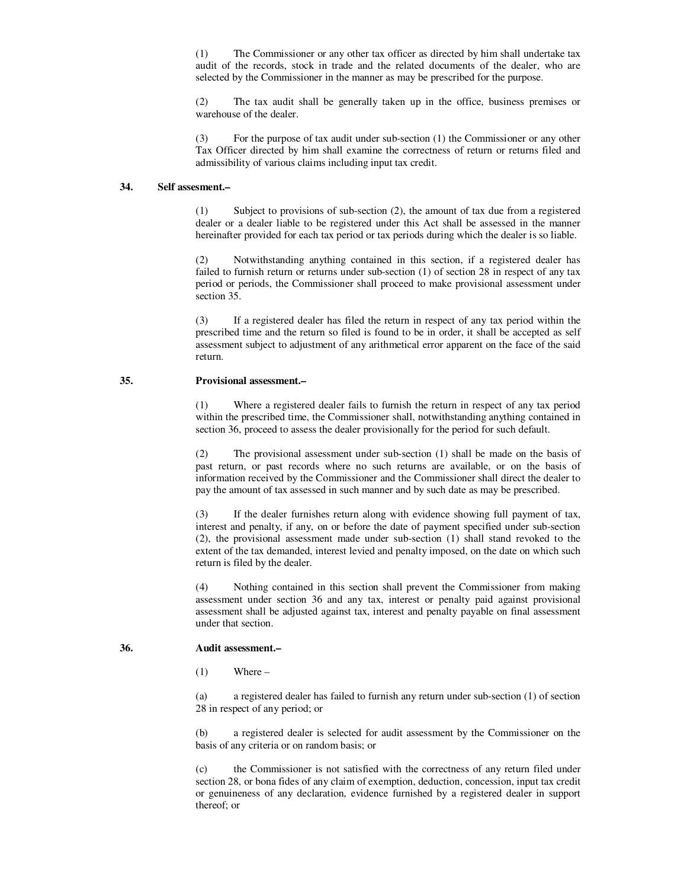(1) The Commissioner or any other tax officer as directed by him shall undertake tax audit of the records, stock in trade and the related documents of the dealer, who are selected by the Commissioner in the manner as may be prescribed for the purpose.

 (2) The tax audit shall be generally taken up in the office, business premises or warehouse of the dealer.

 (3) For the purpose of tax audit under sub-section (1) the Commissioner or any other Tax Officer directed by him shall examine the correctness of return or returns filed and admissibility of various claims including input tax credit.

### **34. Self assesment.–**

 (1) Subject to provisions of sub-section (2), the amount of tax due from a registered dealer or a dealer liable to be registered under this Act shall be assessed in the manner hereinafter provided for each tax period or tax periods during which the dealer is so liable.

 (2) Notwithstanding anything contained in this section, if a registered dealer has failed to furnish return or returns under sub-section (1) of section 28 in respect of any tax period or periods, the Commissioner shall proceed to make provisional assessment under section 35.

 (3) If a registered dealer has filed the return in respect of any tax period within the prescribed time and the return so filed is found to be in order, it shall be accepted as self assessment subject to adjustment of any arithmetical error apparent on the face of the said return.

### **35. Provisional assessment.–**

 (1) Where a registered dealer fails to furnish the return in respect of any tax period within the prescribed time, the Commissioner shall, notwithstanding anything contained in section 36, proceed to assess the dealer provisionally for the period for such default.

 (2) The provisional assessment under sub-section (1) shall be made on the basis of past return, or past records where no such returns are available, or on the basis of information received by the Commissioner and the Commissioner shall direct the dealer to pay the amount of tax assessed in such manner and by such date as may be prescribed.

 (3) If the dealer furnishes return along with evidence showing full payment of tax, interest and penalty, if any, on or before the date of payment specified under sub-section (2), the provisional assessment made under sub-section (1) shall stand revoked to the extent of the tax demanded, interest levied and penalty imposed, on the date on which such return is filed by the dealer.

 (4) Nothing contained in this section shall prevent the Commissioner from making assessment under section 36 and any tax, interest or penalty paid against provisional assessment shall be adjusted against tax, interest and penalty payable on final assessment under that section.

#### **36. Audit assessment.–**

 $(1)$  Where –

 (a) a registered dealer has failed to furnish any return under sub-section (1) of section 28 in respect of any period; or

 (b) a registered dealer is selected for audit assessment by the Commissioner on the basis of any criteria or on random basis; or

 (c) the Commissioner is not satisfied with the correctness of any return filed under section 28, or bona fides of any claim of exemption, deduction, concession, input tax credit or genuineness of any declaration, evidence furnished by a registered dealer in support thereof; or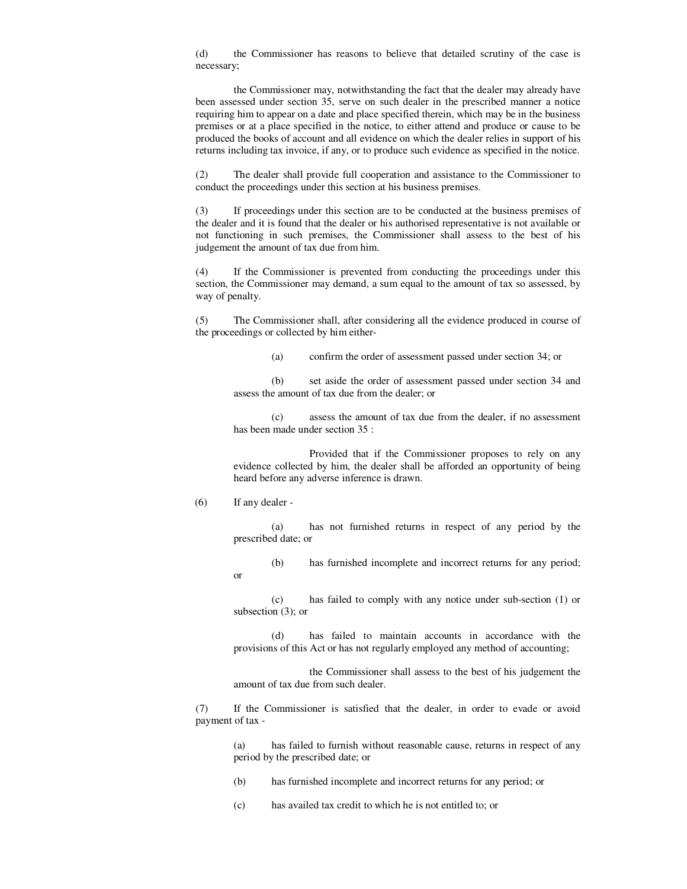(d) the Commissioner has reasons to believe that detailed scrutiny of the case is necessary;

 the Commissioner may, notwithstanding the fact that the dealer may already have been assessed under section 35, serve on such dealer in the prescribed manner a notice requiring him to appear on a date and place specified therein, which may be in the business premises or at a place specified in the notice, to either attend and produce or cause to be produced the books of account and all evidence on which the dealer relies in support of his returns including tax invoice, if any, or to produce such evidence as specified in the notice.

 (2) The dealer shall provide full cooperation and assistance to the Commissioner to conduct the proceedings under this section at his business premises.

 (3) If proceedings under this section are to be conducted at the business premises of the dealer and it is found that the dealer or his authorised representative is not available or not functioning in such premises, the Commissioner shall assess to the best of his judgement the amount of tax due from him.

 (4) If the Commissioner is prevented from conducting the proceedings under this section, the Commissioner may demand, a sum equal to the amount of tax so assessed, by way of penalty.

 (5) The Commissioner shall, after considering all the evidence produced in course of the proceedings or collected by him either-

(a) confirm the order of assessment passed under section 34; or

 (b) set aside the order of assessment passed under section 34 and assess the amount of tax due from the dealer; or

 (c) assess the amount of tax due from the dealer, if no assessment has been made under section 35 :

 Provided that if the Commissioner proposes to rely on any evidence collected by him, the dealer shall be afforded an opportunity of being heard before any adverse inference is drawn.

(6) If any dealer -

or

 (a) has not furnished returns in respect of any period by the prescribed date; or

(b) has furnished incomplete and incorrect returns for any period;

 (c) has failed to comply with any notice under sub-section (1) or subsection (3); or

 (d) has failed to maintain accounts in accordance with the provisions of this Act or has not regularly employed any method of accounting;

 the Commissioner shall assess to the best of his judgement the amount of tax due from such dealer.

 (7) If the Commissioner is satisfied that the dealer, in order to evade or avoid payment of tax -

 (a) has failed to furnish without reasonable cause, returns in respect of any period by the prescribed date; or

(b) has furnished incomplete and incorrect returns for any period; or

(c) has availed tax credit to which he is not entitled to; or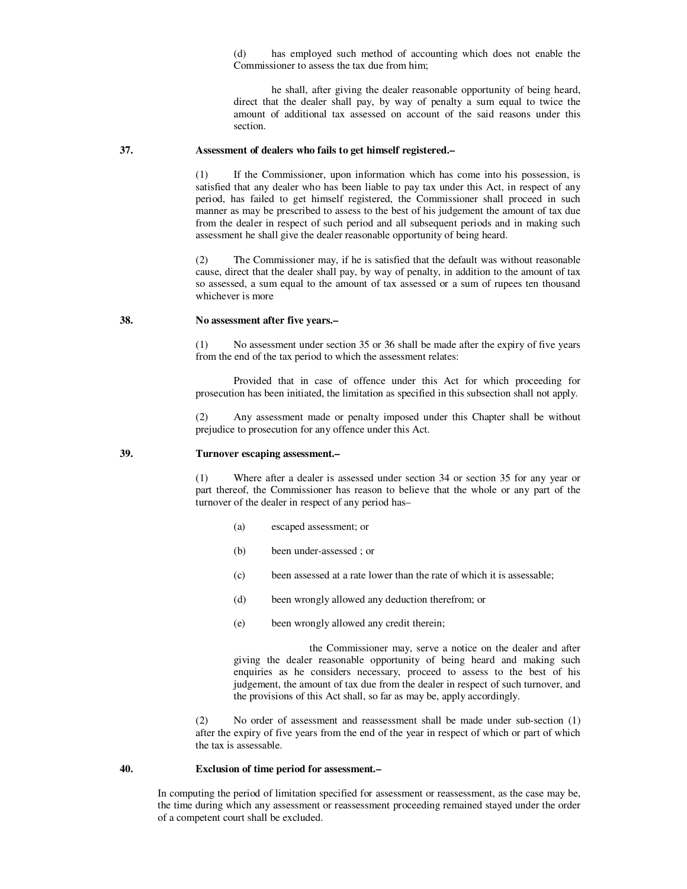(d) has employed such method of accounting which does not enable the Commissioner to assess the tax due from him;

 he shall, after giving the dealer reasonable opportunity of being heard, direct that the dealer shall pay, by way of penalty a sum equal to twice the amount of additional tax assessed on account of the said reasons under this section.

#### **37. Assessment of dealers who fails to get himself registered.–**

 (1) If the Commissioner, upon information which has come into his possession, is satisfied that any dealer who has been liable to pay tax under this Act, in respect of any period, has failed to get himself registered, the Commissioner shall proceed in such manner as may be prescribed to assess to the best of his judgement the amount of tax due from the dealer in respect of such period and all subsequent periods and in making such assessment he shall give the dealer reasonable opportunity of being heard.

 (2) The Commissioner may, if he is satisfied that the default was without reasonable cause, direct that the dealer shall pay, by way of penalty, in addition to the amount of tax so assessed, a sum equal to the amount of tax assessed or a sum of rupees ten thousand whichever is more

### **38. No assessment after five years.–**

 (1) No assessment under section 35 or 36 shall be made after the expiry of five years from the end of the tax period to which the assessment relates:

 Provided that in case of offence under this Act for which proceeding for prosecution has been initiated, the limitation as specified in this subsection shall not apply.

Any assessment made or penalty imposed under this Chapter shall be without prejudice to prosecution for any offence under this Act.

#### **39. Turnover escaping assessment.–**

 (1) Where after a dealer is assessed under section 34 or section 35 for any year or part thereof, the Commissioner has reason to believe that the whole or any part of the turnover of the dealer in respect of any period has–

- (a) escaped assessment; or
- (b) been under-assessed ; or
- (c) been assessed at a rate lower than the rate of which it is assessable;
- (d) been wrongly allowed any deduction therefrom; or
- (e) been wrongly allowed any credit therein;

 the Commissioner may, serve a notice on the dealer and after giving the dealer reasonable opportunity of being heard and making such enquiries as he considers necessary, proceed to assess to the best of his judgement, the amount of tax due from the dealer in respect of such turnover, and the provisions of this Act shall, so far as may be, apply accordingly.

 (2) No order of assessment and reassessment shall be made under sub-section (1) after the expiry of five years from the end of the year in respect of which or part of which the tax is assessable.

#### **40. Exclusion of time period for assessment.–**

 In computing the period of limitation specified for assessment or reassessment, as the case may be, the time during which any assessment or reassessment proceeding remained stayed under the order of a competent court shall be excluded.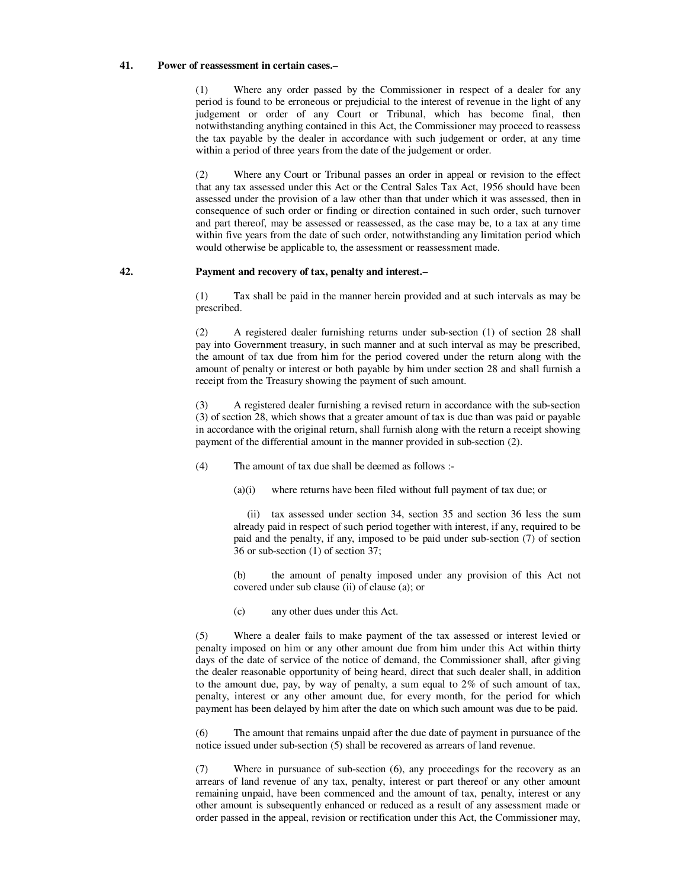#### **41. Power of reassessment in certain cases.–**

 (1) Where any order passed by the Commissioner in respect of a dealer for any period is found to be erroneous or prejudicial to the interest of revenue in the light of any judgement or order of any Court or Tribunal, which has become final, then notwithstanding anything contained in this Act, the Commissioner may proceed to reassess the tax payable by the dealer in accordance with such judgement or order, at any time within a period of three years from the date of the judgement or order.

 (2) Where any Court or Tribunal passes an order in appeal or revision to the effect that any tax assessed under this Act or the Central Sales Tax Act, 1956 should have been assessed under the provision of a law other than that under which it was assessed, then in consequence of such order or finding or direction contained in such order, such turnover and part thereof, may be assessed or reassessed, as the case may be, to a tax at any time within five years from the date of such order, notwithstanding any limitation period which would otherwise be applicable to, the assessment or reassessment made.

### **42. Payment and recovery of tax, penalty and interest.–**

 (1) Tax shall be paid in the manner herein provided and at such intervals as may be prescribed.

 (2) A registered dealer furnishing returns under sub-section (1) of section 28 shall pay into Government treasury, in such manner and at such interval as may be prescribed, the amount of tax due from him for the period covered under the return along with the amount of penalty or interest or both payable by him under section 28 and shall furnish a receipt from the Treasury showing the payment of such amount.

 (3) A registered dealer furnishing a revised return in accordance with the sub-section (3) of section 28, which shows that a greater amount of tax is due than was paid or payable in accordance with the original return, shall furnish along with the return a receipt showing payment of the differential amount in the manner provided in sub-section (2).

(4) The amount of tax due shall be deemed as follows :-

(a)(i) where returns have been filed without full payment of tax due; or

 (ii) tax assessed under section 34, section 35 and section 36 less the sum already paid in respect of such period together with interest, if any, required to be paid and the penalty, if any, imposed to be paid under sub-section (7) of section 36 or sub-section (1) of section 37;

 (b) the amount of penalty imposed under any provision of this Act not covered under sub clause (ii) of clause (a); or

(c) any other dues under this Act.

 (5) Where a dealer fails to make payment of the tax assessed or interest levied or penalty imposed on him or any other amount due from him under this Act within thirty days of the date of service of the notice of demand, the Commissioner shall, after giving the dealer reasonable opportunity of being heard, direct that such dealer shall, in addition to the amount due, pay, by way of penalty, a sum equal to  $2\%$  of such amount of tax, penalty, interest or any other amount due, for every month, for the period for which payment has been delayed by him after the date on which such amount was due to be paid.

 (6) The amount that remains unpaid after the due date of payment in pursuance of the notice issued under sub-section (5) shall be recovered as arrears of land revenue.

 (7) Where in pursuance of sub-section (6), any proceedings for the recovery as an arrears of land revenue of any tax, penalty, interest or part thereof or any other amount remaining unpaid, have been commenced and the amount of tax, penalty, interest or any other amount is subsequently enhanced or reduced as a result of any assessment made or order passed in the appeal, revision or rectification under this Act, the Commissioner may,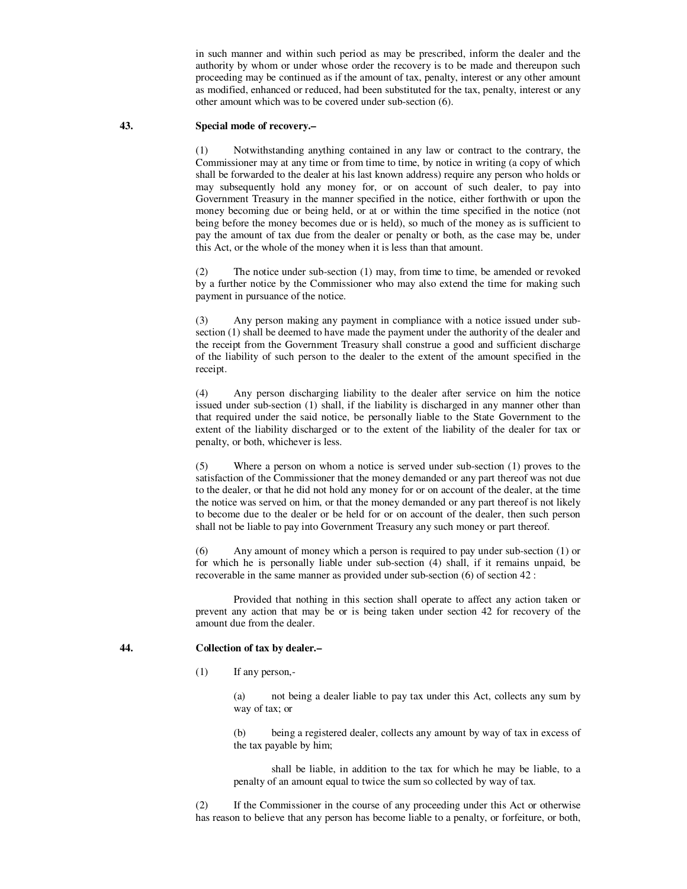in such manner and within such period as may be prescribed, inform the dealer and the authority by whom or under whose order the recovery is to be made and thereupon such proceeding may be continued as if the amount of tax, penalty, interest or any other amount as modified, enhanced or reduced, had been substituted for the tax, penalty, interest or any other amount which was to be covered under sub-section (6).

### **43. Special mode of recovery.–**

 (1) Notwithstanding anything contained in any law or contract to the contrary, the Commissioner may at any time or from time to time, by notice in writing (a copy of which shall be forwarded to the dealer at his last known address) require any person who holds or may subsequently hold any money for, or on account of such dealer, to pay into Government Treasury in the manner specified in the notice, either forthwith or upon the money becoming due or being held, or at or within the time specified in the notice (not being before the money becomes due or is held), so much of the money as is sufficient to pay the amount of tax due from the dealer or penalty or both, as the case may be, under this Act, or the whole of the money when it is less than that amount.

 (2) The notice under sub-section (1) may, from time to time, be amended or revoked by a further notice by the Commissioner who may also extend the time for making such payment in pursuance of the notice.

 (3) Any person making any payment in compliance with a notice issued under subsection (1) shall be deemed to have made the payment under the authority of the dealer and the receipt from the Government Treasury shall construe a good and sufficient discharge of the liability of such person to the dealer to the extent of the amount specified in the receipt.

 (4) Any person discharging liability to the dealer after service on him the notice issued under sub-section (1) shall, if the liability is discharged in any manner other than that required under the said notice, be personally liable to the State Government to the extent of the liability discharged or to the extent of the liability of the dealer for tax or penalty, or both, whichever is less.

 (5) Where a person on whom a notice is served under sub-section (1) proves to the satisfaction of the Commissioner that the money demanded or any part thereof was not due to the dealer, or that he did not hold any money for or on account of the dealer, at the time the notice was served on him, or that the money demanded or any part thereof is not likely to become due to the dealer or be held for or on account of the dealer, then such person shall not be liable to pay into Government Treasury any such money or part thereof.

 (6) Any amount of money which a person is required to pay under sub-section (1) or for which he is personally liable under sub-section (4) shall, if it remains unpaid, be recoverable in the same manner as provided under sub-section (6) of section 42 :

 Provided that nothing in this section shall operate to affect any action taken or prevent any action that may be or is being taken under section 42 for recovery of the amount due from the dealer.

### **44. Collection of tax by dealer.–**

(1) If any person,-

 (a) not being a dealer liable to pay tax under this Act, collects any sum by way of tax; or

 (b) being a registered dealer, collects any amount by way of tax in excess of the tax payable by him;

 shall be liable, in addition to the tax for which he may be liable, to a penalty of an amount equal to twice the sum so collected by way of tax.

 (2) If the Commissioner in the course of any proceeding under this Act or otherwise has reason to believe that any person has become liable to a penalty, or forfeiture, or both,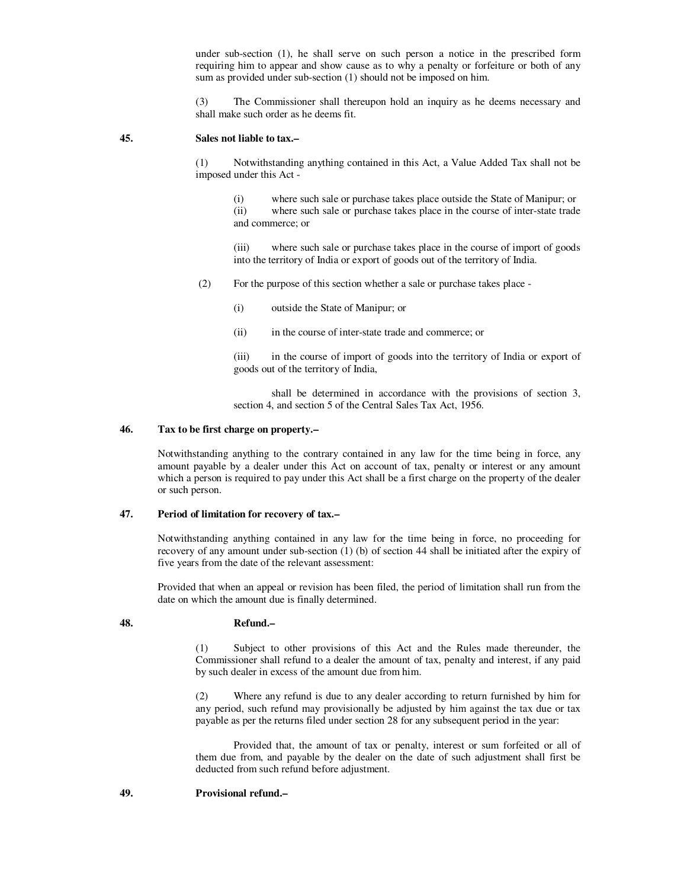under sub-section (1), he shall serve on such person a notice in the prescribed form requiring him to appear and show cause as to why a penalty or forfeiture or both of any sum as provided under sub-section (1) should not be imposed on him.

 (3) The Commissioner shall thereupon hold an inquiry as he deems necessary and shall make such order as he deems fit.

#### **45. Sales not liable to tax.–**

 (1) Notwithstanding anything contained in this Act, a Value Added Tax shall not be imposed under this Act -

 (i) where such sale or purchase takes place outside the State of Manipur; or (ii) where such sale or purchase takes place in the course of inter-state trade and commerce; or

 (iii) where such sale or purchase takes place in the course of import of goods into the territory of India or export of goods out of the territory of India.

(2) For the purpose of this section whether a sale or purchase takes place -

(i) outside the State of Manipur; or

(ii) in the course of inter-state trade and commerce; or

 (iii) in the course of import of goods into the territory of India or export of goods out of the territory of India,

 shall be determined in accordance with the provisions of section 3, section 4, and section 5 of the Central Sales Tax Act, 1956.

### **46. Tax to be first charge on property.–**

 Notwithstanding anything to the contrary contained in any law for the time being in force, any amount payable by a dealer under this Act on account of tax, penalty or interest or any amount which a person is required to pay under this Act shall be a first charge on the property of the dealer or such person.

### **47. Period of limitation for recovery of tax.–**

 Notwithstanding anything contained in any law for the time being in force, no proceeding for recovery of any amount under sub-section (1) (b) of section 44 shall be initiated after the expiry of five years from the date of the relevant assessment:

 Provided that when an appeal or revision has been filed, the period of limitation shall run from the date on which the amount due is finally determined.

#### **48. Refund.–**

 (1) Subject to other provisions of this Act and the Rules made thereunder, the Commissioner shall refund to a dealer the amount of tax, penalty and interest, if any paid by such dealer in excess of the amount due from him.

 (2) Where any refund is due to any dealer according to return furnished by him for any period, such refund may provisionally be adjusted by him against the tax due or tax payable as per the returns filed under section 28 for any subsequent period in the year:

 Provided that, the amount of tax or penalty, interest or sum forfeited or all of them due from, and payable by the dealer on the date of such adjustment shall first be deducted from such refund before adjustment.

### **49. Provisional refund.–**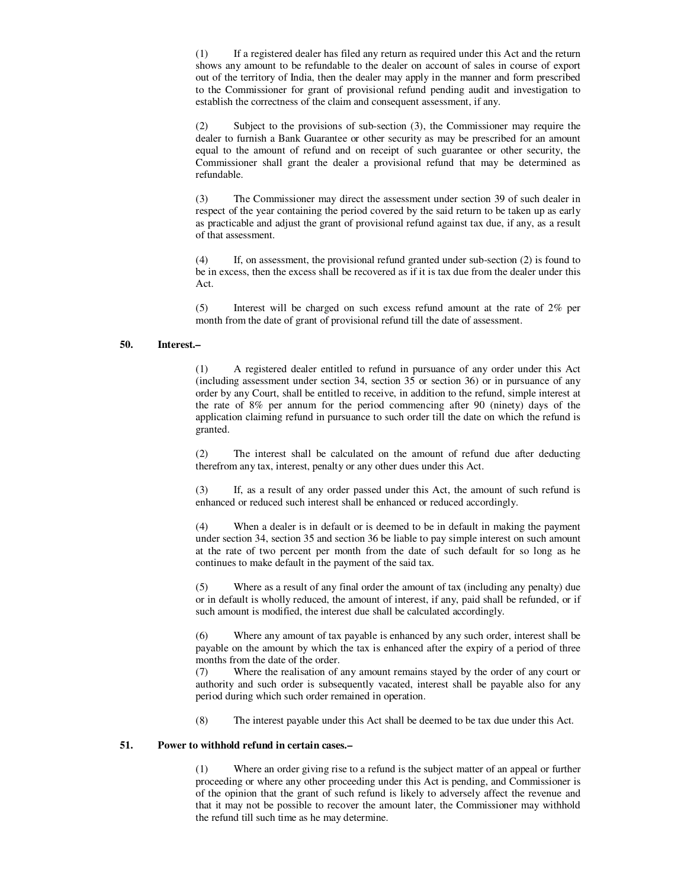(1) If a registered dealer has filed any return as required under this Act and the return shows any amount to be refundable to the dealer on account of sales in course of export out of the territory of India, then the dealer may apply in the manner and form prescribed to the Commissioner for grant of provisional refund pending audit and investigation to establish the correctness of the claim and consequent assessment, if any.

 (2) Subject to the provisions of sub-section (3), the Commissioner may require the dealer to furnish a Bank Guarantee or other security as may be prescribed for an amount equal to the amount of refund and on receipt of such guarantee or other security, the Commissioner shall grant the dealer a provisional refund that may be determined as refundable.

 (3) The Commissioner may direct the assessment under section 39 of such dealer in respect of the year containing the period covered by the said return to be taken up as early as practicable and adjust the grant of provisional refund against tax due, if any, as a result of that assessment.

 (4) If, on assessment, the provisional refund granted under sub-section (2) is found to be in excess, then the excess shall be recovered as if it is tax due from the dealer under this Act.

 (5) Interest will be charged on such excess refund amount at the rate of 2% per month from the date of grant of provisional refund till the date of assessment.

### **50. Interest.–**

 (1) A registered dealer entitled to refund in pursuance of any order under this Act (including assessment under section 34, section 35 or section 36) or in pursuance of any order by any Court, shall be entitled to receive, in addition to the refund, simple interest at the rate of 8% per annum for the period commencing after 90 (ninety) days of the application claiming refund in pursuance to such order till the date on which the refund is granted.

 (2) The interest shall be calculated on the amount of refund due after deducting therefrom any tax, interest, penalty or any other dues under this Act.

 (3) If, as a result of any order passed under this Act, the amount of such refund is enhanced or reduced such interest shall be enhanced or reduced accordingly.

 (4) When a dealer is in default or is deemed to be in default in making the payment under section 34, section 35 and section 36 be liable to pay simple interest on such amount at the rate of two percent per month from the date of such default for so long as he continues to make default in the payment of the said tax.

 (5) Where as a result of any final order the amount of tax (including any penalty) due or in default is wholly reduced, the amount of interest, if any, paid shall be refunded, or if such amount is modified, the interest due shall be calculated accordingly.

 (6) Where any amount of tax payable is enhanced by any such order, interest shall be payable on the amount by which the tax is enhanced after the expiry of a period of three months from the date of the order.

 (7) Where the realisation of any amount remains stayed by the order of any court or authority and such order is subsequently vacated, interest shall be payable also for any period during which such order remained in operation.

(8) The interest payable under this Act shall be deemed to be tax due under this Act.

#### **51. Power to withhold refund in certain cases.–**

 (1) Where an order giving rise to a refund is the subject matter of an appeal or further proceeding or where any other proceeding under this Act is pending, and Commissioner is of the opinion that the grant of such refund is likely to adversely affect the revenue and that it may not be possible to recover the amount later, the Commissioner may withhold the refund till such time as he may determine.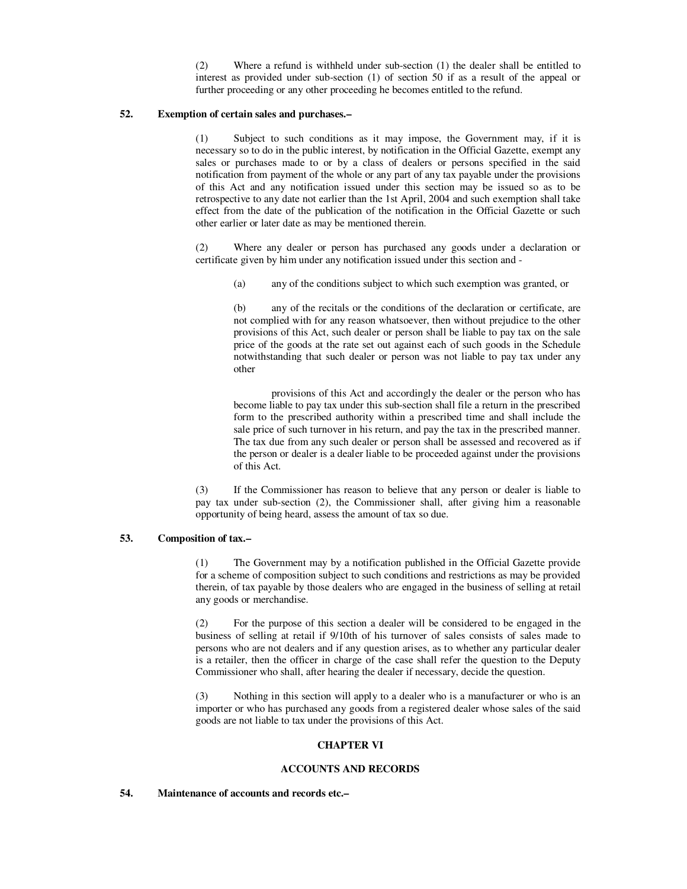(2) Where a refund is withheld under sub-section (1) the dealer shall be entitled to interest as provided under sub-section (1) of section 50 if as a result of the appeal or further proceeding or any other proceeding he becomes entitled to the refund.

# **52. Exemption of certain sales and purchases.–**

 (1) Subject to such conditions as it may impose, the Government may, if it is necessary so to do in the public interest, by notification in the Official Gazette, exempt any sales or purchases made to or by a class of dealers or persons specified in the said notification from payment of the whole or any part of any tax payable under the provisions of this Act and any notification issued under this section may be issued so as to be retrospective to any date not earlier than the 1st April, 2004 and such exemption shall take effect from the date of the publication of the notification in the Official Gazette or such other earlier or later date as may be mentioned therein.

 (2) Where any dealer or person has purchased any goods under a declaration or certificate given by him under any notification issued under this section and -

(a) any of the conditions subject to which such exemption was granted, or

 (b) any of the recitals or the conditions of the declaration or certificate, are not complied with for any reason whatsoever, then without prejudice to the other provisions of this Act, such dealer or person shall be liable to pay tax on the sale price of the goods at the rate set out against each of such goods in the Schedule notwithstanding that such dealer or person was not liable to pay tax under any other

 provisions of this Act and accordingly the dealer or the person who has become liable to pay tax under this sub-section shall file a return in the prescribed form to the prescribed authority within a prescribed time and shall include the sale price of such turnover in his return, and pay the tax in the prescribed manner. The tax due from any such dealer or person shall be assessed and recovered as if the person or dealer is a dealer liable to be proceeded against under the provisions of this Act.

 (3) If the Commissioner has reason to believe that any person or dealer is liable to pay tax under sub-section (2), the Commissioner shall, after giving him a reasonable opportunity of being heard, assess the amount of tax so due.

# **53. Composition of tax.–**

 (1) The Government may by a notification published in the Official Gazette provide for a scheme of composition subject to such conditions and restrictions as may be provided therein, of tax payable by those dealers who are engaged in the business of selling at retail any goods or merchandise.

 (2) For the purpose of this section a dealer will be considered to be engaged in the business of selling at retail if 9/10th of his turnover of sales consists of sales made to persons who are not dealers and if any question arises, as to whether any particular dealer is a retailer, then the officer in charge of the case shall refer the question to the Deputy Commissioner who shall, after hearing the dealer if necessary, decide the question.

 (3) Nothing in this section will apply to a dealer who is a manufacturer or who is an importer or who has purchased any goods from a registered dealer whose sales of the said goods are not liable to tax under the provisions of this Act.

# **CHAPTER VI**

# **ACCOUNTS AND RECORDS**

### **54. Maintenance of accounts and records etc.–**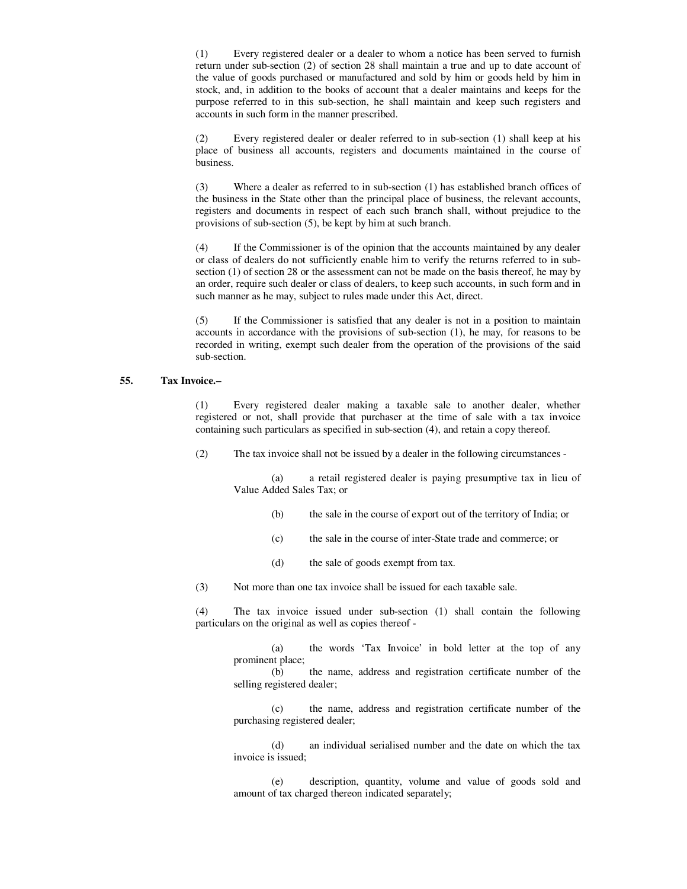(1) Every registered dealer or a dealer to whom a notice has been served to furnish return under sub-section (2) of section 28 shall maintain a true and up to date account of the value of goods purchased or manufactured and sold by him or goods held by him in stock, and, in addition to the books of account that a dealer maintains and keeps for the purpose referred to in this sub-section, he shall maintain and keep such registers and accounts in such form in the manner prescribed.

 (2) Every registered dealer or dealer referred to in sub-section (1) shall keep at his place of business all accounts, registers and documents maintained in the course of business.

 (3) Where a dealer as referred to in sub-section (1) has established branch offices of the business in the State other than the principal place of business, the relevant accounts, registers and documents in respect of each such branch shall, without prejudice to the provisions of sub-section (5), be kept by him at such branch.

 (4) If the Commissioner is of the opinion that the accounts maintained by any dealer or class of dealers do not sufficiently enable him to verify the returns referred to in subsection (1) of section 28 or the assessment can not be made on the basis thereof, he may by an order, require such dealer or class of dealers, to keep such accounts, in such form and in such manner as he may, subject to rules made under this Act, direct.

 (5) If the Commissioner is satisfied that any dealer is not in a position to maintain accounts in accordance with the provisions of sub-section (1), he may, for reasons to be recorded in writing, exempt such dealer from the operation of the provisions of the said sub-section.

### **55. Tax Invoice.–**

 (1) Every registered dealer making a taxable sale to another dealer, whether registered or not, shall provide that purchaser at the time of sale with a tax invoice containing such particulars as specified in sub-section (4), and retain a copy thereof.

(2) The tax invoice shall not be issued by a dealer in the following circumstances -

 (a) a retail registered dealer is paying presumptive tax in lieu of Value Added Sales Tax; or

- (b) the sale in the course of export out of the territory of India; or
- (c) the sale in the course of inter-State trade and commerce; or
- (d) the sale of goods exempt from tax.
- (3) Not more than one tax invoice shall be issued for each taxable sale.

 (4) The tax invoice issued under sub-section (1) shall contain the following particulars on the original as well as copies thereof -

 (a) the words 'Tax Invoice' in bold letter at the top of any prominent place;

 (b) the name, address and registration certificate number of the selling registered dealer;

 (c) the name, address and registration certificate number of the purchasing registered dealer;

 (d) an individual serialised number and the date on which the tax invoice is issued;

 (e) description, quantity, volume and value of goods sold and amount of tax charged thereon indicated separately;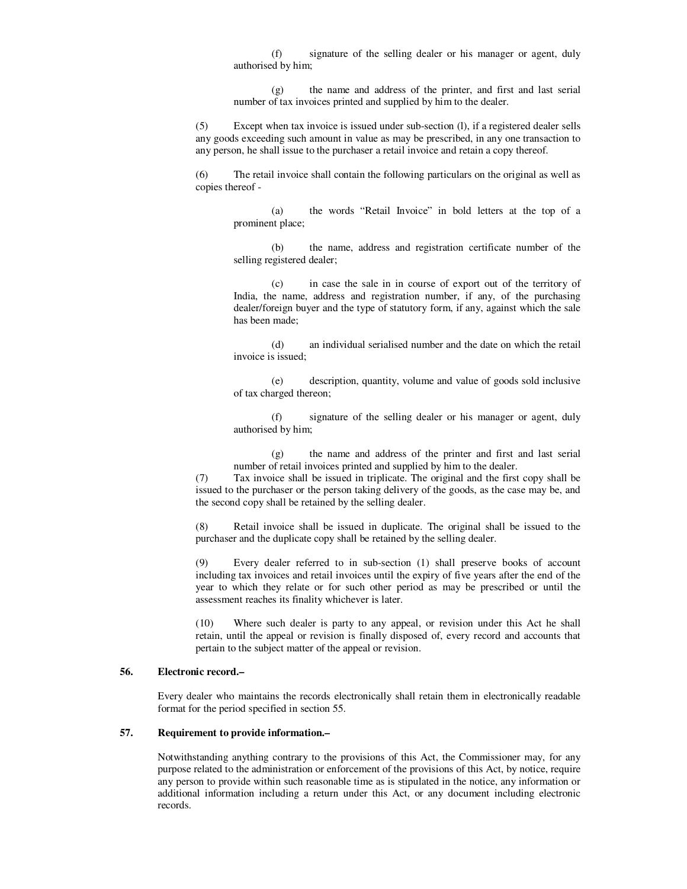(f) signature of the selling dealer or his manager or agent, duly authorised by him;

 (g) the name and address of the printer, and first and last serial number of tax invoices printed and supplied by him to the dealer.

 (5) Except when tax invoice is issued under sub-section (l), if a registered dealer sells any goods exceeding such amount in value as may be prescribed, in any one transaction to any person, he shall issue to the purchaser a retail invoice and retain a copy thereof.

 (6) The retail invoice shall contain the following particulars on the original as well as copies thereof -

> (a) the words "Retail Invoice" in bold letters at the top of a prominent place;

> (b) the name, address and registration certificate number of the selling registered dealer;

> (c) in case the sale in in course of export out of the territory of India, the name, address and registration number, if any, of the purchasing dealer/foreign buyer and the type of statutory form, if any, against which the sale has been made;

> (d) an individual serialised number and the date on which the retail invoice is issued;

> (e) description, quantity, volume and value of goods sold inclusive of tax charged thereon;

> (f) signature of the selling dealer or his manager or agent, duly authorised by him;

> (g) the name and address of the printer and first and last serial number of retail invoices printed and supplied by him to the dealer.

 (7) Tax invoice shall be issued in triplicate. The original and the first copy shall be issued to the purchaser or the person taking delivery of the goods, as the case may be, and the second copy shall be retained by the selling dealer.

 (8) Retail invoice shall be issued in duplicate. The original shall be issued to the purchaser and the duplicate copy shall be retained by the selling dealer.

 (9) Every dealer referred to in sub-section (1) shall preserve books of account including tax invoices and retail invoices until the expiry of five years after the end of the year to which they relate or for such other period as may be prescribed or until the assessment reaches its finality whichever is later.

 (10) Where such dealer is party to any appeal, or revision under this Act he shall retain, until the appeal or revision is finally disposed of, every record and accounts that pertain to the subject matter of the appeal or revision.

# **56. Electronic record.–**

 Every dealer who maintains the records electronically shall retain them in electronically readable format for the period specified in section 55.

### **57. Requirement to provide information.–**

 Notwithstanding anything contrary to the provisions of this Act, the Commissioner may, for any purpose related to the administration or enforcement of the provisions of this Act, by notice, require any person to provide within such reasonable time as is stipulated in the notice, any information or additional information including a return under this Act, or any document including electronic records.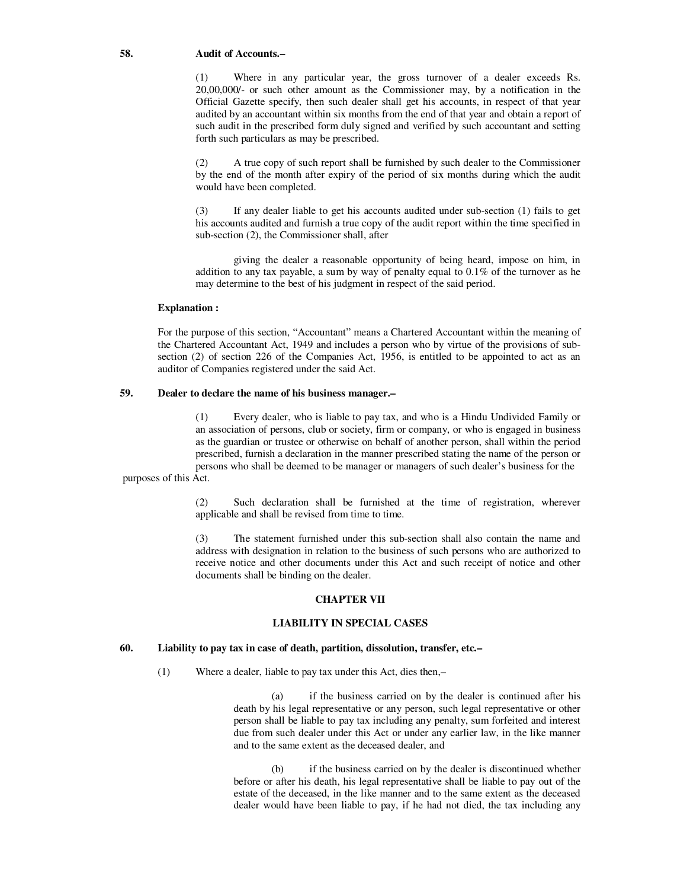#### **58. Audit of Accounts.–**

 (1) Where in any particular year, the gross turnover of a dealer exceeds Rs. 20,00,000/- or such other amount as the Commissioner may, by a notification in the Official Gazette specify, then such dealer shall get his accounts, in respect of that year audited by an accountant within six months from the end of that year and obtain a report of such audit in the prescribed form duly signed and verified by such accountant and setting forth such particulars as may be prescribed.

 (2) A true copy of such report shall be furnished by such dealer to the Commissioner by the end of the month after expiry of the period of six months during which the audit would have been completed.

 (3) If any dealer liable to get his accounts audited under sub-section (1) fails to get his accounts audited and furnish a true copy of the audit report within the time specified in sub-section (2), the Commissioner shall, after

 giving the dealer a reasonable opportunity of being heard, impose on him, in addition to any tax payable, a sum by way of penalty equal to 0.1% of the turnover as he may determine to the best of his judgment in respect of the said period.

#### **Explanation :**

 For the purpose of this section, "Accountant" means a Chartered Accountant within the meaning of the Chartered Accountant Act, 1949 and includes a person who by virtue of the provisions of subsection (2) of section 226 of the Companies Act, 1956, is entitled to be appointed to act as an auditor of Companies registered under the said Act.

## **59. Dealer to declare the name of his business manager.–**

 (1) Every dealer, who is liable to pay tax, and who is a Hindu Undivided Family or an association of persons, club or society, firm or company, or who is engaged in business as the guardian or trustee or otherwise on behalf of another person, shall within the period prescribed, furnish a declaration in the manner prescribed stating the name of the person or persons who shall be deemed to be manager or managers of such dealer's business for the

purposes of this Act.

 (2) Such declaration shall be furnished at the time of registration, wherever applicable and shall be revised from time to time.

 (3) The statement furnished under this sub-section shall also contain the name and address with designation in relation to the business of such persons who are authorized to receive notice and other documents under this Act and such receipt of notice and other documents shall be binding on the dealer.

## **CHAPTER VII**

## **LIABILITY IN SPECIAL CASES**

## **60. Liability to pay tax in case of death, partition, dissolution, transfer, etc.–**

(1) Where a dealer, liable to pay tax under this Act, dies then,–

if the business carried on by the dealer is continued after his death by his legal representative or any person, such legal representative or other person shall be liable to pay tax including any penalty, sum forfeited and interest due from such dealer under this Act or under any earlier law, in the like manner and to the same extent as the deceased dealer, and

 (b) if the business carried on by the dealer is discontinued whether before or after his death, his legal representative shall be liable to pay out of the estate of the deceased, in the like manner and to the same extent as the deceased dealer would have been liable to pay, if he had not died, the tax including any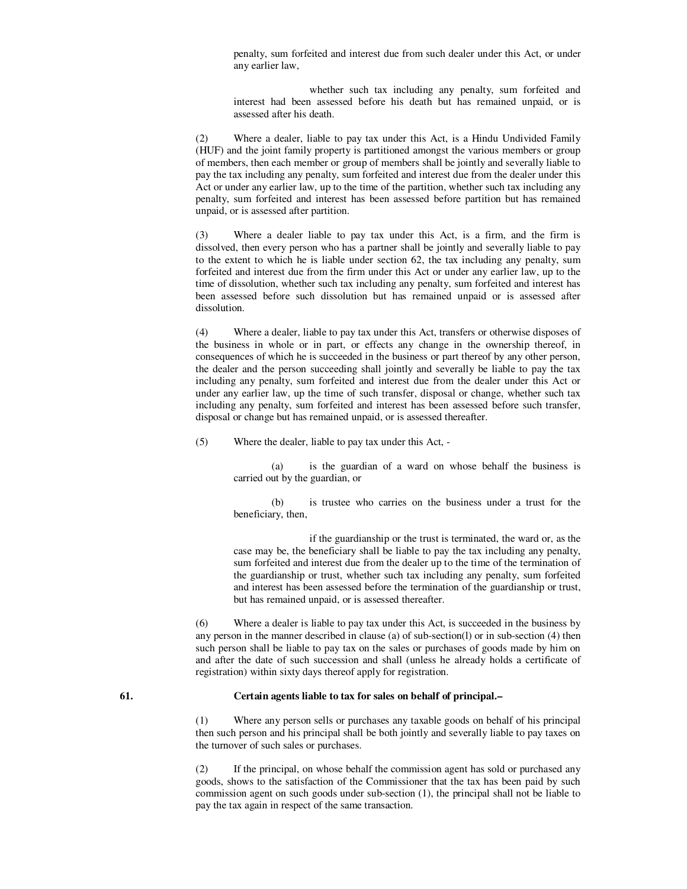penalty, sum forfeited and interest due from such dealer under this Act, or under any earlier law,

 whether such tax including any penalty, sum forfeited and interest had been assessed before his death but has remained unpaid, or is assessed after his death.

 (2) Where a dealer, liable to pay tax under this Act, is a Hindu Undivided Family (HUF) and the joint family property is partitioned amongst the various members or group of members, then each member or group of members shall be jointly and severally liable to pay the tax including any penalty, sum forfeited and interest due from the dealer under this Act or under any earlier law, up to the time of the partition, whether such tax including any penalty, sum forfeited and interest has been assessed before partition but has remained unpaid, or is assessed after partition.

 (3) Where a dealer liable to pay tax under this Act, is a firm, and the firm is dissolved, then every person who has a partner shall be jointly and severally liable to pay to the extent to which he is liable under section 62, the tax including any penalty, sum forfeited and interest due from the firm under this Act or under any earlier law, up to the time of dissolution, whether such tax including any penalty, sum forfeited and interest has been assessed before such dissolution but has remained unpaid or is assessed after dissolution.

 (4) Where a dealer, liable to pay tax under this Act, transfers or otherwise disposes of the business in whole or in part, or effects any change in the ownership thereof, in consequences of which he is succeeded in the business or part thereof by any other person, the dealer and the person succeeding shall jointly and severally be liable to pay the tax including any penalty, sum forfeited and interest due from the dealer under this Act or under any earlier law, up the time of such transfer, disposal or change, whether such tax including any penalty, sum forfeited and interest has been assessed before such transfer, disposal or change but has remained unpaid, or is assessed thereafter.

(5) Where the dealer, liable to pay tax under this Act, -

 (a) is the guardian of a ward on whose behalf the business is carried out by the guardian, or

 (b) is trustee who carries on the business under a trust for the beneficiary, then,

 if the guardianship or the trust is terminated, the ward or, as the case may be, the beneficiary shall be liable to pay the tax including any penalty, sum forfeited and interest due from the dealer up to the time of the termination of the guardianship or trust, whether such tax including any penalty, sum forfeited and interest has been assessed before the termination of the guardianship or trust, but has remained unpaid, or is assessed thereafter.

 (6) Where a dealer is liable to pay tax under this Act, is succeeded in the business by any person in the manner described in clause (a) of sub-section(l) or in sub-section (4) then such person shall be liable to pay tax on the sales or purchases of goods made by him on and after the date of such succession and shall (unless he already holds a certificate of registration) within sixty days thereof apply for registration.

#### **61. Certain agents liable to tax for sales on behalf of principal.–**

 (1) Where any person sells or purchases any taxable goods on behalf of his principal then such person and his principal shall be both jointly and severally liable to pay taxes on the turnover of such sales or purchases.

 (2) If the principal, on whose behalf the commission agent has sold or purchased any goods, shows to the satisfaction of the Commissioner that the tax has been paid by such commission agent on such goods under sub-section (1), the principal shall not be liable to pay the tax again in respect of the same transaction.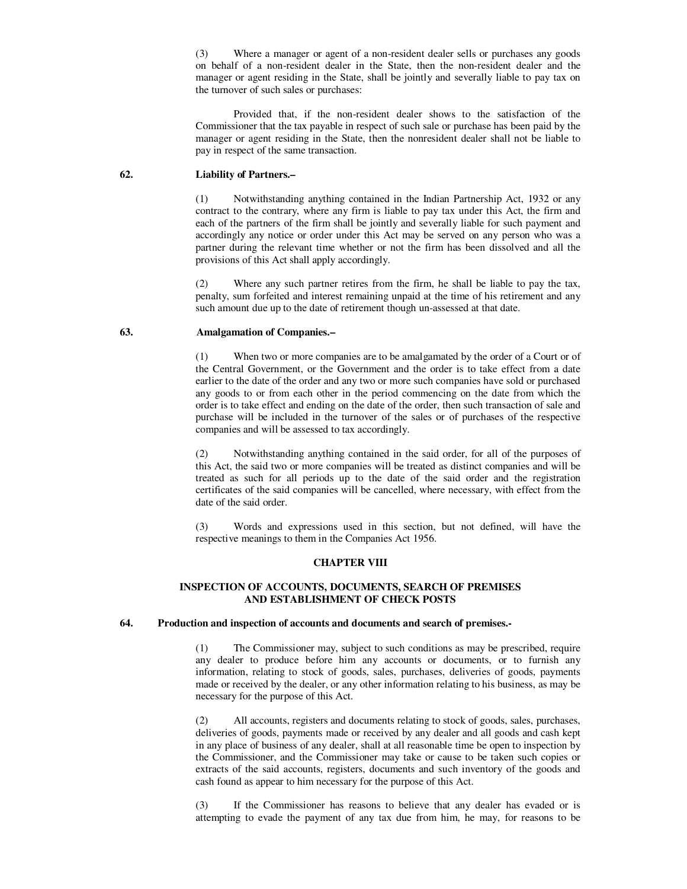(3) Where a manager or agent of a non-resident dealer sells or purchases any goods on behalf of a non-resident dealer in the State, then the non-resident dealer and the manager or agent residing in the State, shall be jointly and severally liable to pay tax on the turnover of such sales or purchases:

 Provided that, if the non-resident dealer shows to the satisfaction of the Commissioner that the tax payable in respect of such sale or purchase has been paid by the manager or agent residing in the State, then the nonresident dealer shall not be liable to pay in respect of the same transaction.

### **62. Liability of Partners.–**

 (1) Notwithstanding anything contained in the Indian Partnership Act, 1932 or any contract to the contrary, where any firm is liable to pay tax under this Act, the firm and each of the partners of the firm shall be jointly and severally liable for such payment and accordingly any notice or order under this Act may be served on any person who was a partner during the relevant time whether or not the firm has been dissolved and all the provisions of this Act shall apply accordingly.

Where any such partner retires from the firm, he shall be liable to pay the tax, penalty, sum forfeited and interest remaining unpaid at the time of his retirement and any such amount due up to the date of retirement though un-assessed at that date.

# **63. Amalgamation of Companies.–**

 (1) When two or more companies are to be amalgamated by the order of a Court or of the Central Government, or the Government and the order is to take effect from a date earlier to the date of the order and any two or more such companies have sold or purchased any goods to or from each other in the period commencing on the date from which the order is to take effect and ending on the date of the order, then such transaction of sale and purchase will be included in the turnover of the sales or of purchases of the respective companies and will be assessed to tax accordingly.

 (2) Notwithstanding anything contained in the said order, for all of the purposes of this Act, the said two or more companies will be treated as distinct companies and will be treated as such for all periods up to the date of the said order and the registration certificates of the said companies will be cancelled, where necessary, with effect from the date of the said order.

 (3) Words and expressions used in this section, but not defined, will have the respective meanings to them in the Companies Act 1956.

### **CHAPTER VIII**

### **INSPECTION OF ACCOUNTS, DOCUMENTS, SEARCH OF PREMISES AND ESTABLISHMENT OF CHECK POSTS**

## **64. Production and inspection of accounts and documents and search of premises.-**

 (1) The Commissioner may, subject to such conditions as may be prescribed, require any dealer to produce before him any accounts or documents, or to furnish any information, relating to stock of goods, sales, purchases, deliveries of goods, payments made or received by the dealer, or any other information relating to his business, as may be necessary for the purpose of this Act.

 (2) All accounts, registers and documents relating to stock of goods, sales, purchases, deliveries of goods, payments made or received by any dealer and all goods and cash kept in any place of business of any dealer, shall at all reasonable time be open to inspection by the Commissioner, and the Commissioner may take or cause to be taken such copies or extracts of the said accounts, registers, documents and such inventory of the goods and cash found as appear to him necessary for the purpose of this Act.

 (3) If the Commissioner has reasons to believe that any dealer has evaded or is attempting to evade the payment of any tax due from him, he may, for reasons to be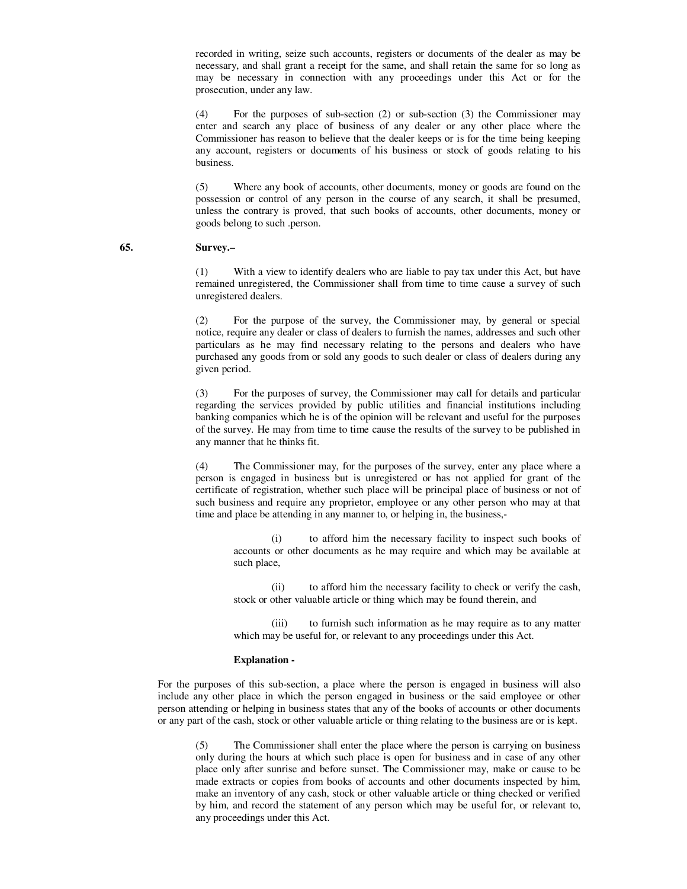recorded in writing, seize such accounts, registers or documents of the dealer as may be necessary, and shall grant a receipt for the same, and shall retain the same for so long as may be necessary in connection with any proceedings under this Act or for the prosecution, under any law.

 (4) For the purposes of sub-section (2) or sub-section (3) the Commissioner may enter and search any place of business of any dealer or any other place where the Commissioner has reason to believe that the dealer keeps or is for the time being keeping any account, registers or documents of his business or stock of goods relating to his business.

 (5) Where any book of accounts, other documents, money or goods are found on the possession or control of any person in the course of any search, it shall be presumed, unless the contrary is proved, that such books of accounts, other documents, money or goods belong to such .person.

### **65. Survey.–**

 (1) With a view to identify dealers who are liable to pay tax under this Act, but have remained unregistered, the Commissioner shall from time to time cause a survey of such unregistered dealers.

 (2) For the purpose of the survey, the Commissioner may, by general or special notice, require any dealer or class of dealers to furnish the names, addresses and such other particulars as he may find necessary relating to the persons and dealers who have purchased any goods from or sold any goods to such dealer or class of dealers during any given period.

 (3) For the purposes of survey, the Commissioner may call for details and particular regarding the services provided by public utilities and financial institutions including banking companies which he is of the opinion will be relevant and useful for the purposes of the survey. He may from time to time cause the results of the survey to be published in any manner that he thinks fit.

 (4) The Commissioner may, for the purposes of the survey, enter any place where a person is engaged in business but is unregistered or has not applied for grant of the certificate of registration, whether such place will be principal place of business or not of such business and require any proprietor, employee or any other person who may at that time and place be attending in any manner to, or helping in, the business,-

to afford him the necessary facility to inspect such books of accounts or other documents as he may require and which may be available at such place,

 (ii) to afford him the necessary facility to check or verify the cash, stock or other valuable article or thing which may be found therein, and

 (iii) to furnish such information as he may require as to any matter which may be useful for, or relevant to any proceedings under this Act.

#### **Explanation -**

 For the purposes of this sub-section, a place where the person is engaged in business will also include any other place in which the person engaged in business or the said employee or other person attending or helping in business states that any of the books of accounts or other documents or any part of the cash, stock or other valuable article or thing relating to the business are or is kept.

 (5) The Commissioner shall enter the place where the person is carrying on business only during the hours at which such place is open for business and in case of any other place only after sunrise and before sunset. The Commissioner may, make or cause to be made extracts or copies from books of accounts and other documents inspected by him, make an inventory of any cash, stock or other valuable article or thing checked or verified by him, and record the statement of any person which may be useful for, or relevant to, any proceedings under this Act.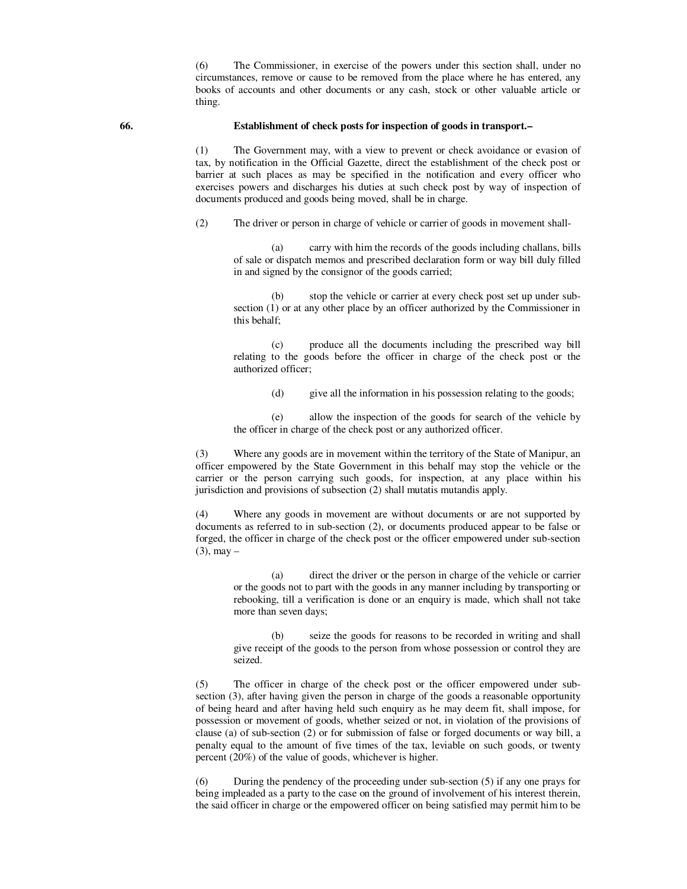(6) The Commissioner, in exercise of the powers under this section shall, under no circumstances, remove or cause to be removed from the place where he has entered, any books of accounts and other documents or any cash, stock or other valuable article or thing.

### **66. Establishment of check posts for inspection of goods in transport.–**

 (1) The Government may, with a view to prevent or check avoidance or evasion of tax, by notification in the Official Gazette, direct the establishment of the check post or barrier at such places as may be specified in the notification and every officer who exercises powers and discharges his duties at such check post by way of inspection of documents produced and goods being moved, shall be in charge.

(2) The driver or person in charge of vehicle or carrier of goods in movement shall-

 (a) carry with him the records of the goods including challans, bills of sale or dispatch memos and prescribed declaration form or way bill duly filled in and signed by the consignor of the goods carried;

 (b) stop the vehicle or carrier at every check post set up under subsection (1) or at any other place by an officer authorized by the Commissioner in this behalf;

 (c) produce all the documents including the prescribed way bill relating to the goods before the officer in charge of the check post or the authorized officer;

(d) give all the information in his possession relating to the goods;

 (e) allow the inspection of the goods for search of the vehicle by the officer in charge of the check post or any authorized officer.

 (3) Where any goods are in movement within the territory of the State of Manipur, an officer empowered by the State Government in this behalf may stop the vehicle or the carrier or the person carrying such goods, for inspection, at any place within his jurisdiction and provisions of subsection (2) shall mutatis mutandis apply.

 (4) Where any goods in movement are without documents or are not supported by documents as referred to in sub-section (2), or documents produced appear to be false or forged, the officer in charge of the check post or the officer empowered under sub-section  $(3)$ , may –

 (a) direct the driver or the person in charge of the vehicle or carrier or the goods not to part with the goods in any manner including by transporting or rebooking, till a verification is done or an enquiry is made, which shall not take more than seven days;

 (b) seize the goods for reasons to be recorded in writing and shall give receipt of the goods to the person from whose possession or control they are seized.

 (5) The officer in charge of the check post or the officer empowered under subsection (3), after having given the person in charge of the goods a reasonable opportunity of being heard and after having held such enquiry as he may deem fit, shall impose, for possession or movement of goods, whether seized or not, in violation of the provisions of clause (a) of sub-section (2) or for submission of false or forged documents or way bill, a penalty equal to the amount of five times of the tax, leviable on such goods, or twenty percent (20%) of the value of goods, whichever is higher.

 (6) During the pendency of the proceeding under sub-section (5) if any one prays for being impleaded as a party to the case on the ground of involvement of his interest therein, the said officer in charge or the empowered officer on being satisfied may permit him to be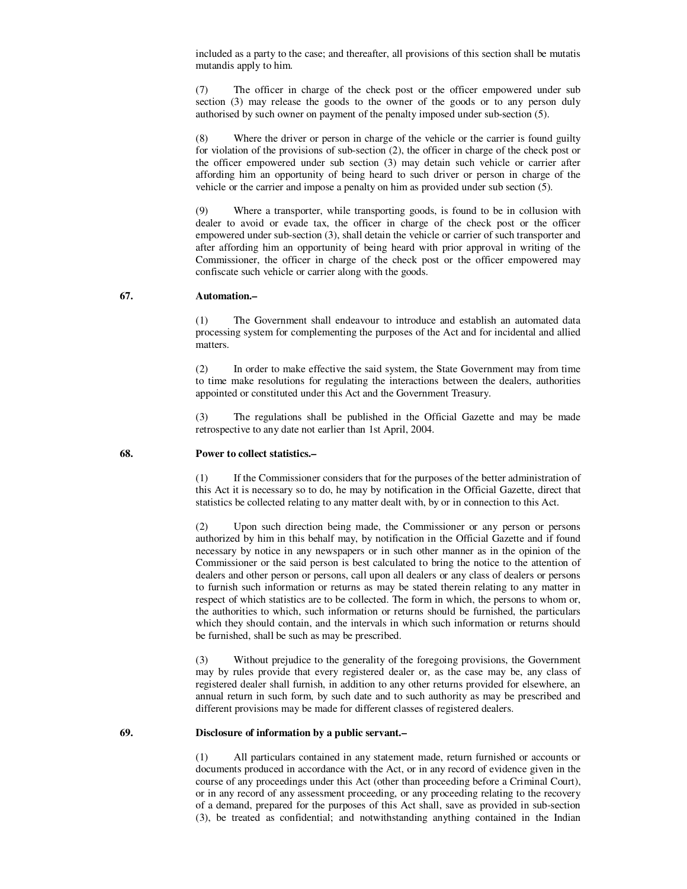included as a party to the case; and thereafter, all provisions of this section shall be mutatis mutandis apply to him.

 (7) The officer in charge of the check post or the officer empowered under sub section (3) may release the goods to the owner of the goods or to any person duly authorised by such owner on payment of the penalty imposed under sub-section (5).

 (8) Where the driver or person in charge of the vehicle or the carrier is found guilty for violation of the provisions of sub-section (2), the officer in charge of the check post or the officer empowered under sub section (3) may detain such vehicle or carrier after affording him an opportunity of being heard to such driver or person in charge of the vehicle or the carrier and impose a penalty on him as provided under sub section (5).

 (9) Where a transporter, while transporting goods, is found to be in collusion with dealer to avoid or evade tax, the officer in charge of the check post or the officer empowered under sub-section (3), shall detain the vehicle or carrier of such transporter and after affording him an opportunity of being heard with prior approval in writing of the Commissioner, the officer in charge of the check post or the officer empowered may confiscate such vehicle or carrier along with the goods.

#### **67. Automation.–**

 (1) The Government shall endeavour to introduce and establish an automated data processing system for complementing the purposes of the Act and for incidental and allied matters.

 (2) In order to make effective the said system, the State Government may from time to time make resolutions for regulating the interactions between the dealers, authorities appointed or constituted under this Act and the Government Treasury.

 (3) The regulations shall be published in the Official Gazette and may be made retrospective to any date not earlier than 1st April, 2004.

#### **68. Power to collect statistics.–**

 (1) If the Commissioner considers that for the purposes of the better administration of this Act it is necessary so to do, he may by notification in the Official Gazette, direct that statistics be collected relating to any matter dealt with, by or in connection to this Act.

 (2) Upon such direction being made, the Commissioner or any person or persons authorized by him in this behalf may, by notification in the Official Gazette and if found necessary by notice in any newspapers or in such other manner as in the opinion of the Commissioner or the said person is best calculated to bring the notice to the attention of dealers and other person or persons, call upon all dealers or any class of dealers or persons to furnish such information or returns as may be stated therein relating to any matter in respect of which statistics are to be collected. The form in which, the persons to whom or, the authorities to which, such information or returns should be furnished, the particulars which they should contain, and the intervals in which such information or returns should be furnished, shall be such as may be prescribed.

 (3) Without prejudice to the generality of the foregoing provisions, the Government may by rules provide that every registered dealer or, as the case may be, any class of registered dealer shall furnish, in addition to any other returns provided for elsewhere, an annual return in such form, by such date and to such authority as may be prescribed and different provisions may be made for different classes of registered dealers.

#### **69. Disclosure of information by a public servant.–**

 (1) All particulars contained in any statement made, return furnished or accounts or documents produced in accordance with the Act, or in any record of evidence given in the course of any proceedings under this Act (other than proceeding before a Criminal Court), or in any record of any assessment proceeding, or any proceeding relating to the recovery of a demand, prepared for the purposes of this Act shall, save as provided in sub-section (3), be treated as confidential; and notwithstanding anything contained in the Indian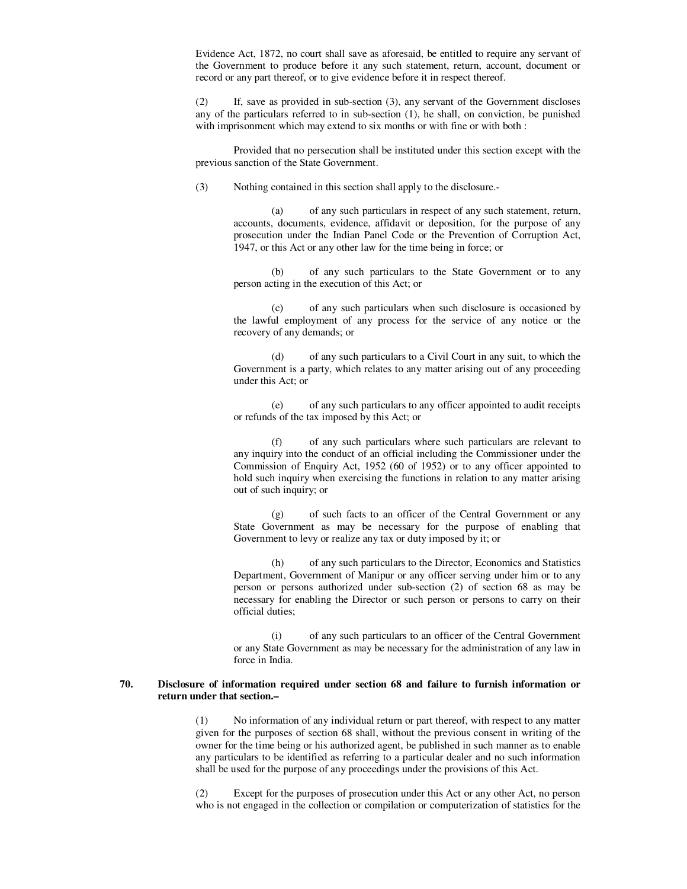Evidence Act, 1872, no court shall save as aforesaid, be entitled to require any servant of the Government to produce before it any such statement, return, account, document or record or any part thereof, or to give evidence before it in respect thereof.

 (2) If, save as provided in sub-section (3), any servant of the Government discloses any of the particulars referred to in sub-section (1), he shall, on conviction, be punished with imprisonment which may extend to six months or with fine or with both :

 Provided that no persecution shall be instituted under this section except with the previous sanction of the State Government.

(3) Nothing contained in this section shall apply to the disclosure.-

 (a) of any such particulars in respect of any such statement, return, accounts, documents, evidence, affidavit or deposition, for the purpose of any prosecution under the Indian Panel Code or the Prevention of Corruption Act, 1947, or this Act or any other law for the time being in force; or

 (b) of any such particulars to the State Government or to any person acting in the execution of this Act; or

 (c) of any such particulars when such disclosure is occasioned by the lawful employment of any process for the service of any notice or the recovery of any demands; or

 (d) of any such particulars to a Civil Court in any suit, to which the Government is a party, which relates to any matter arising out of any proceeding under this Act; or

 (e) of any such particulars to any officer appointed to audit receipts or refunds of the tax imposed by this Act; or

 (f) of any such particulars where such particulars are relevant to any inquiry into the conduct of an official including the Commissioner under the Commission of Enquiry Act, 1952 (60 of 1952) or to any officer appointed to hold such inquiry when exercising the functions in relation to any matter arising out of such inquiry; or

 (g) of such facts to an officer of the Central Government or any State Government as may be necessary for the purpose of enabling that Government to levy or realize any tax or duty imposed by it; or

 (h) of any such particulars to the Director, Economics and Statistics Department, Government of Manipur or any officer serving under him or to any person or persons authorized under sub-section (2) of section 68 as may be necessary for enabling the Director or such person or persons to carry on their official duties;

 (i) of any such particulars to an officer of the Central Government or any State Government as may be necessary for the administration of any law in force in India.

### **70. Disclosure of information required under section 68 and failure to furnish information or return under that section.–**

 (1) No information of any individual return or part thereof, with respect to any matter given for the purposes of section 68 shall, without the previous consent in writing of the owner for the time being or his authorized agent, be published in such manner as to enable any particulars to be identified as referring to a particular dealer and no such information shall be used for the purpose of any proceedings under the provisions of this Act.

 (2) Except for the purposes of prosecution under this Act or any other Act, no person who is not engaged in the collection or compilation or computerization of statistics for the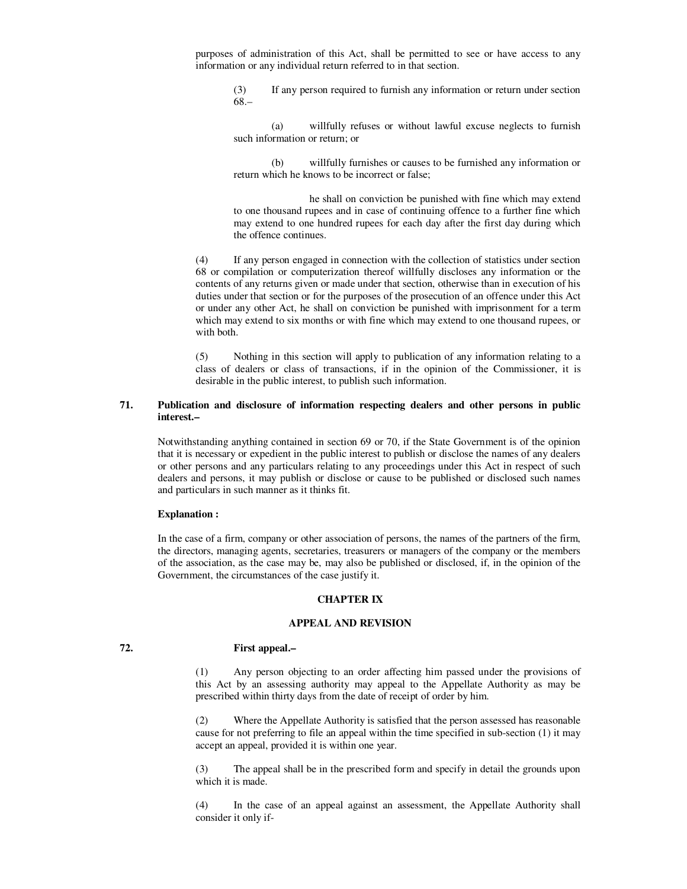purposes of administration of this Act, shall be permitted to see or have access to any information or any individual return referred to in that section.

 (3) If any person required to furnish any information or return under section 68.–

 (a) willfully refuses or without lawful excuse neglects to furnish such information or return; or

 (b) willfully furnishes or causes to be furnished any information or return which he knows to be incorrect or false;

 he shall on conviction be punished with fine which may extend to one thousand rupees and in case of continuing offence to a further fine which may extend to one hundred rupees for each day after the first day during which the offence continues.

 (4) If any person engaged in connection with the collection of statistics under section 68 or compilation or computerization thereof willfully discloses any information or the contents of any returns given or made under that section, otherwise than in execution of his duties under that section or for the purposes of the prosecution of an offence under this Act or under any other Act, he shall on conviction be punished with imprisonment for a term which may extend to six months or with fine which may extend to one thousand rupees, or with both.

 (5) Nothing in this section will apply to publication of any information relating to a class of dealers or class of transactions, if in the opinion of the Commissioner, it is desirable in the public interest, to publish such information.

### **71. Publication and disclosure of information respecting dealers and other persons in public interest.–**

 Notwithstanding anything contained in section 69 or 70, if the State Government is of the opinion that it is necessary or expedient in the public interest to publish or disclose the names of any dealers or other persons and any particulars relating to any proceedings under this Act in respect of such dealers and persons, it may publish or disclose or cause to be published or disclosed such names and particulars in such manner as it thinks fit.

#### **Explanation :**

 In the case of a firm, company or other association of persons, the names of the partners of the firm, the directors, managing agents, secretaries, treasurers or managers of the company or the members of the association, as the case may be, may also be published or disclosed, if, in the opinion of the Government, the circumstances of the case justify it.

# **CHAPTER IX**

## **APPEAL AND REVISION**

### **72. First appeal.–**

 (1) Any person objecting to an order affecting him passed under the provisions of this Act by an assessing authority may appeal to the Appellate Authority as may be prescribed within thirty days from the date of receipt of order by him.

 (2) Where the Appellate Authority is satisfied that the person assessed has reasonable cause for not preferring to file an appeal within the time specified in sub-section (1) it may accept an appeal, provided it is within one year.

 (3) The appeal shall be in the prescribed form and specify in detail the grounds upon which it is made.

 (4) In the case of an appeal against an assessment, the Appellate Authority shall consider it only if-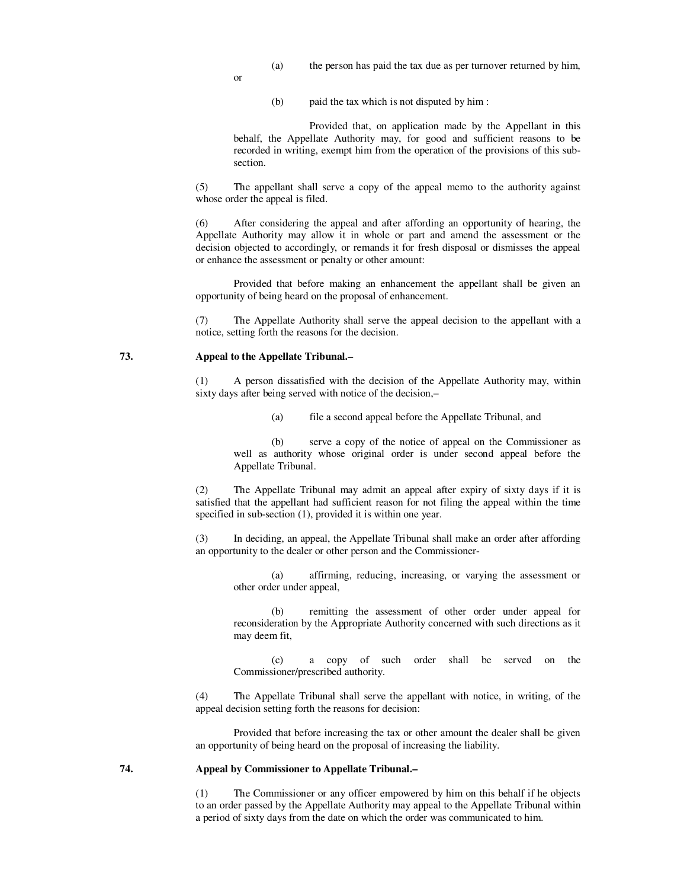- (a) the person has paid the tax due as per turnover returned by him,
- or
- (b) paid the tax which is not disputed by him :

 Provided that, on application made by the Appellant in this behalf, the Appellate Authority may, for good and sufficient reasons to be recorded in writing, exempt him from the operation of the provisions of this subsection.

 (5) The appellant shall serve a copy of the appeal memo to the authority against whose order the appeal is filed.

 (6) After considering the appeal and after affording an opportunity of hearing, the Appellate Authority may allow it in whole or part and amend the assessment or the decision objected to accordingly, or remands it for fresh disposal or dismisses the appeal or enhance the assessment or penalty or other amount:

 Provided that before making an enhancement the appellant shall be given an opportunity of being heard on the proposal of enhancement.

 (7) The Appellate Authority shall serve the appeal decision to the appellant with a notice, setting forth the reasons for the decision.

#### **73. Appeal to the Appellate Tribunal.–**

 (1) A person dissatisfied with the decision of the Appellate Authority may, within sixty days after being served with notice of the decision,–

(a) file a second appeal before the Appellate Tribunal, and

 (b) serve a copy of the notice of appeal on the Commissioner as well as authority whose original order is under second appeal before the Appellate Tribunal.

 (2) The Appellate Tribunal may admit an appeal after expiry of sixty days if it is satisfied that the appellant had sufficient reason for not filing the appeal within the time specified in sub-section (1), provided it is within one year.

 (3) In deciding, an appeal, the Appellate Tribunal shall make an order after affording an opportunity to the dealer or other person and the Commissioner-

 (a) affirming, reducing, increasing, or varying the assessment or other order under appeal,

 (b) remitting the assessment of other order under appeal for reconsideration by the Appropriate Authority concerned with such directions as it may deem fit,

 (c) a copy of such order shall be served on the Commissioner/prescribed authority.

 (4) The Appellate Tribunal shall serve the appellant with notice, in writing, of the appeal decision setting forth the reasons for decision:

 Provided that before increasing the tax or other amount the dealer shall be given an opportunity of being heard on the proposal of increasing the liability.

### **74. Appeal by Commissioner to Appellate Tribunal.–**

The Commissioner or any officer empowered by him on this behalf if he objects to an order passed by the Appellate Authority may appeal to the Appellate Tribunal within a period of sixty days from the date on which the order was communicated to him.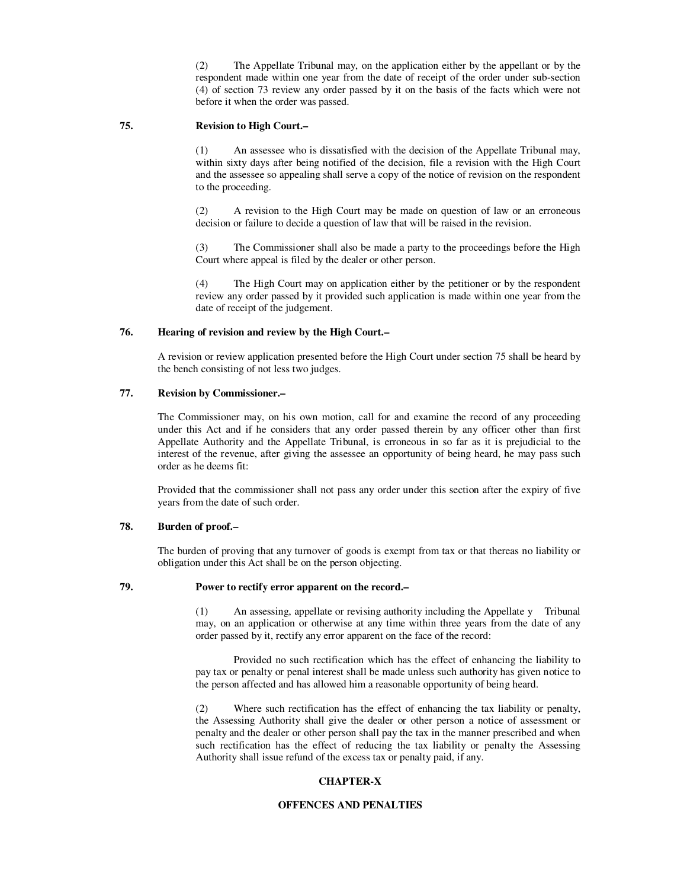(2) The Appellate Tribunal may, on the application either by the appellant or by the respondent made within one year from the date of receipt of the order under sub-section (4) of section 73 review any order passed by it on the basis of the facts which were not before it when the order was passed.

### **75. Revision to High Court.–**

 (1) An assessee who is dissatisfied with the decision of the Appellate Tribunal may, within sixty days after being notified of the decision, file a revision with the High Court and the assessee so appealing shall serve a copy of the notice of revision on the respondent to the proceeding.

 (2) A revision to the High Court may be made on question of law or an erroneous decision or failure to decide a question of law that will be raised in the revision.

 (3) The Commissioner shall also be made a party to the proceedings before the High Court where appeal is filed by the dealer or other person.

 (4) The High Court may on application either by the petitioner or by the respondent review any order passed by it provided such application is made within one year from the date of receipt of the judgement.

### **76. Hearing of revision and review by the High Court.–**

 A revision or review application presented before the High Court under section 75 shall be heard by the bench consisting of not less two judges.

### **77. Revision by Commissioner.–**

 The Commissioner may, on his own motion, call for and examine the record of any proceeding under this Act and if he considers that any order passed therein by any officer other than first Appellate Authority and the Appellate Tribunal, is erroneous in so far as it is prejudicial to the interest of the revenue, after giving the assessee an opportunity of being heard, he may pass such order as he deems fit:

 Provided that the commissioner shall not pass any order under this section after the expiry of five years from the date of such order.

## **78. Burden of proof.–**

 The burden of proving that any turnover of goods is exempt from tax or that thereas no liability or obligation under this Act shall be on the person objecting.

### **79. Power to rectify error apparent on the record.–**

 (1) An assessing, appellate or revising authority including the Appellate y Tribunal may, on an application or otherwise at any time within three years from the date of any order passed by it, rectify any error apparent on the face of the record:

 Provided no such rectification which has the effect of enhancing the liability to pay tax or penalty or penal interest shall be made unless such authority has given notice to the person affected and has allowed him a reasonable opportunity of being heard.

 (2) Where such rectification has the effect of enhancing the tax liability or penalty, the Assessing Authority shall give the dealer or other person a notice of assessment or penalty and the dealer or other person shall pay the tax in the manner prescribed and when such rectification has the effect of reducing the tax liability or penalty the Assessing Authority shall issue refund of the excess tax or penalty paid, if any.

# **CHAPTER-X**

#### **OFFENCES AND PENALTIES**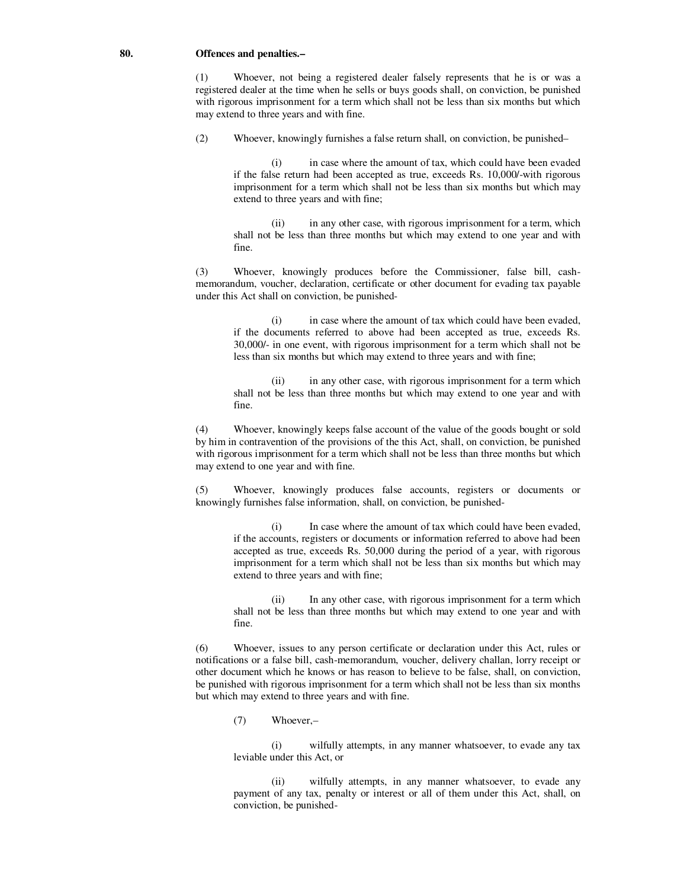#### **80. Offences and penalties.–**

 (1) Whoever, not being a registered dealer falsely represents that he is or was a registered dealer at the time when he sells or buys goods shall, on conviction, be punished with rigorous imprisonment for a term which shall not be less than six months but which may extend to three years and with fine.

(2) Whoever, knowingly furnishes a false return shall, on conviction, be punished–

in case where the amount of tax, which could have been evaded if the false return had been accepted as true, exceeds Rs. 10,000/-with rigorous imprisonment for a term which shall not be less than six months but which may extend to three years and with fine;

 (ii) in any other case, with rigorous imprisonment for a term, which shall not be less than three months but which may extend to one year and with fine.

 (3) Whoever, knowingly produces before the Commissioner, false bill, cashmemorandum, voucher, declaration, certificate or other document for evading tax payable under this Act shall on conviction, be punished-

 (i) in case where the amount of tax which could have been evaded, if the documents referred to above had been accepted as true, exceeds Rs. 30,000/- in one event, with rigorous imprisonment for a term which shall not be less than six months but which may extend to three years and with fine;

 (ii) in any other case, with rigorous imprisonment for a term which shall not be less than three months but which may extend to one year and with fine.

 (4) Whoever, knowingly keeps false account of the value of the goods bought or sold by him in contravention of the provisions of the this Act, shall, on conviction, be punished with rigorous imprisonment for a term which shall not be less than three months but which may extend to one year and with fine.

 (5) Whoever, knowingly produces false accounts, registers or documents or knowingly furnishes false information, shall, on conviction, be punished-

 (i) In case where the amount of tax which could have been evaded, if the accounts, registers or documents or information referred to above had been accepted as true, exceeds Rs. 50,000 during the period of a year, with rigorous imprisonment for a term which shall not be less than six months but which may extend to three years and with fine;

 (ii) In any other case, with rigorous imprisonment for a term which shall not be less than three months but which may extend to one year and with fine.

 (6) Whoever, issues to any person certificate or declaration under this Act, rules or notifications or a false bill, cash-memorandum, voucher, delivery challan, lorry receipt or other document which he knows or has reason to believe to be false, shall, on conviction, be punished with rigorous imprisonment for a term which shall not be less than six months but which may extend to three years and with fine.

(7) Whoever,–

 (i) wilfully attempts, in any manner whatsoever, to evade any tax leviable under this Act, or

 (ii) wilfully attempts, in any manner whatsoever, to evade any payment of any tax, penalty or interest or all of them under this Act, shall, on conviction, be punished-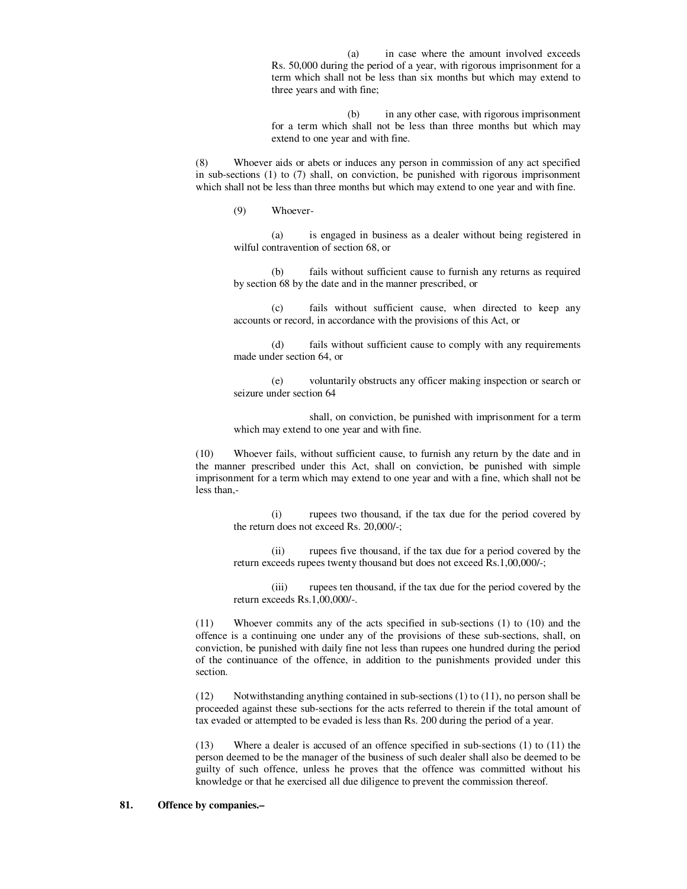(a) in case where the amount involved exceeds Rs. 50,000 during the period of a year, with rigorous imprisonment for a term which shall not be less than six months but which may extend to three years and with fine;

 (b) in any other case, with rigorous imprisonment for a term which shall not be less than three months but which may extend to one year and with fine.

 (8) Whoever aids or abets or induces any person in commission of any act specified in sub-sections (1) to (7) shall, on conviction, be punished with rigorous imprisonment which shall not be less than three months but which may extend to one year and with fine.

(9) Whoever-

 (a) is engaged in business as a dealer without being registered in wilful contravention of section 68, or

 (b) fails without sufficient cause to furnish any returns as required by section 68 by the date and in the manner prescribed, or

 (c) fails without sufficient cause, when directed to keep any accounts or record, in accordance with the provisions of this Act, or

 (d) fails without sufficient cause to comply with any requirements made under section 64, or

 (e) voluntarily obstructs any officer making inspection or search or seizure under section 64

 shall, on conviction, be punished with imprisonment for a term which may extend to one year and with fine.

 (10) Whoever fails, without sufficient cause, to furnish any return by the date and in the manner prescribed under this Act, shall on conviction, be punished with simple imprisonment for a term which may extend to one year and with a fine, which shall not be less than,-

 (i) rupees two thousand, if the tax due for the period covered by the return does not exceed Rs. 20,000/-;

 (ii) rupees five thousand, if the tax due for a period covered by the return exceeds rupees twenty thousand but does not exceed Rs.1,00,000/-;

 (iii) rupees ten thousand, if the tax due for the period covered by the return exceeds Rs.1,00,000/-.

 (11) Whoever commits any of the acts specified in sub-sections (1) to (10) and the offence is a continuing one under any of the provisions of these sub-sections, shall, on conviction, be punished with daily fine not less than rupees one hundred during the period of the continuance of the offence, in addition to the punishments provided under this section.

 (12) Notwithstanding anything contained in sub-sections (1) to (11), no person shall be proceeded against these sub-sections for the acts referred to therein if the total amount of tax evaded or attempted to be evaded is less than Rs. 200 during the period of a year.

 (13) Where a dealer is accused of an offence specified in sub-sections (1) to (11) the person deemed to be the manager of the business of such dealer shall also be deemed to be guilty of such offence, unless he proves that the offence was committed without his knowledge or that he exercised all due diligence to prevent the commission thereof.

#### **81. Offence by companies.–**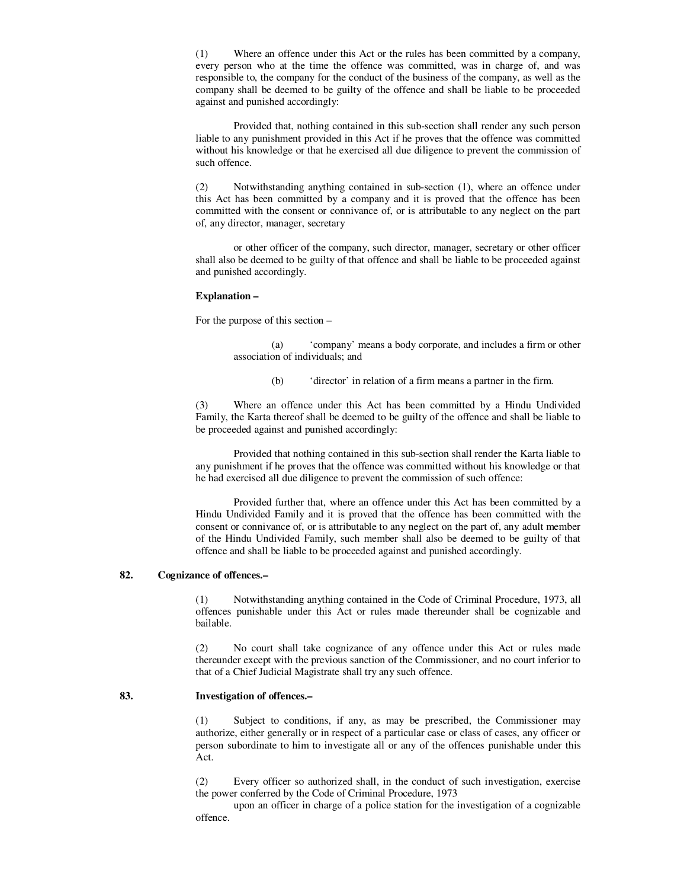(1) Where an offence under this Act or the rules has been committed by a company, every person who at the time the offence was committed, was in charge of, and was responsible to, the company for the conduct of the business of the company, as well as the company shall be deemed to be guilty of the offence and shall be liable to be proceeded against and punished accordingly:

 Provided that, nothing contained in this sub-section shall render any such person liable to any punishment provided in this Act if he proves that the offence was committed without his knowledge or that he exercised all due diligence to prevent the commission of such offence.

 (2) Notwithstanding anything contained in sub-section (1), where an offence under this Act has been committed by a company and it is proved that the offence has been committed with the consent or connivance of, or is attributable to any neglect on the part of, any director, manager, secretary

 or other officer of the company, such director, manager, secretary or other officer shall also be deemed to be guilty of that offence and shall be liable to be proceeded against and punished accordingly.

#### **Explanation –**

For the purpose of this section –

 (a) 'company' means a body corporate, and includes a firm or other association of individuals; and

(b) 'director' in relation of a firm means a partner in the firm.

 (3) Where an offence under this Act has been committed by a Hindu Undivided Family, the Karta thereof shall be deemed to be guilty of the offence and shall be liable to be proceeded against and punished accordingly:

 Provided that nothing contained in this sub-section shall render the Karta liable to any punishment if he proves that the offence was committed without his knowledge or that he had exercised all due diligence to prevent the commission of such offence:

 Provided further that, where an offence under this Act has been committed by a Hindu Undivided Family and it is proved that the offence has been committed with the consent or connivance of, or is attributable to any neglect on the part of, any adult member of the Hindu Undivided Family, such member shall also be deemed to be guilty of that offence and shall be liable to be proceeded against and punished accordingly.

# **82. Cognizance of offences.–**

 (1) Notwithstanding anything contained in the Code of Criminal Procedure, 1973, all offences punishable under this Act or rules made thereunder shall be cognizable and bailable.

 (2) No court shall take cognizance of any offence under this Act or rules made thereunder except with the previous sanction of the Commissioner, and no court inferior to that of a Chief Judicial Magistrate shall try any such offence.

#### **83. Investigation of offences.–**

 (1) Subject to conditions, if any, as may be prescribed, the Commissioner may authorize, either generally or in respect of a particular case or class of cases, any officer or person subordinate to him to investigate all or any of the offences punishable under this Act.

 (2) Every officer so authorized shall, in the conduct of such investigation, exercise the power conferred by the Code of Criminal Procedure, 1973

 upon an officer in charge of a police station for the investigation of a cognizable offence.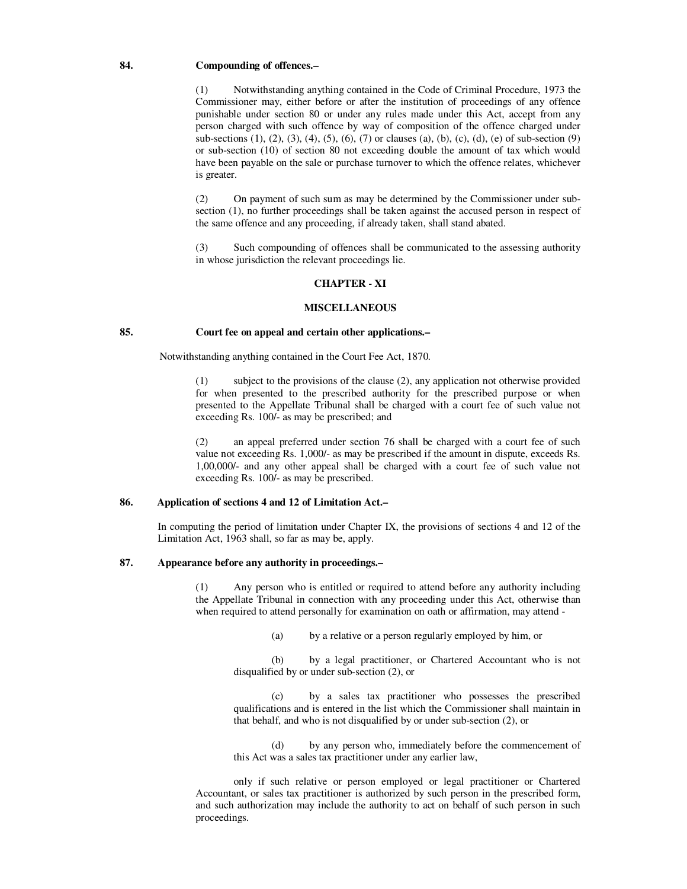#### **84. Compounding of offences.–**

 (1) Notwithstanding anything contained in the Code of Criminal Procedure, 1973 the Commissioner may, either before or after the institution of proceedings of any offence punishable under section 80 or under any rules made under this Act, accept from any person charged with such offence by way of composition of the offence charged under sub-sections (1), (2), (3), (4), (5), (6), (7) or clauses (a), (b), (c), (d), (e) of sub-section (9) or sub-section (10) of section 80 not exceeding double the amount of tax which would have been payable on the sale or purchase turnover to which the offence relates, whichever is greater.

 (2)On payment of such sum as may be determined by the Commissioner under subsection (1), no further proceedings shall be taken against the accused person in respect of the same offence and any proceeding, if already taken, shall stand abated.

 (3) Such compounding of offences shall be communicated to the assessing authority in whose jurisdiction the relevant proceedings lie.

### **CHAPTER - XI**

#### **MISCELLANEOUS**

### **85. Court fee on appeal and certain other applications.–**

Notwithstanding anything contained in the Court Fee Act, 1870.

 (1) subject to the provisions of the clause (2), any application not otherwise provided for when presented to the prescribed authority for the prescribed purpose or when presented to the Appellate Tribunal shall be charged with a court fee of such value not exceeding Rs. 100/- as may be prescribed; and

 (2) an appeal preferred under section 76 shall be charged with a court fee of such value not exceeding Rs. 1,000/- as may be prescribed if the amount in dispute, exceeds Rs. 1,00,000/- and any other appeal shall be charged with a court fee of such value not exceeding Rs. 100/- as may be prescribed.

## **86. Application of sections 4 and 12 of Limitation Act.–**

 In computing the period of limitation under Chapter IX, the provisions of sections 4 and 12 of the Limitation Act, 1963 shall, so far as may be, apply.

# **87. Appearance before any authority in proceedings.–**

 (1) Any person who is entitled or required to attend before any authority including the Appellate Tribunal in connection with any proceeding under this Act, otherwise than when required to attend personally for examination on oath or affirmation, may attend -

(a) by a relative or a person regularly employed by him, or

 (b) by a legal practitioner, or Chartered Accountant who is not disqualified by or under sub-section (2), or

 (c) by a sales tax practitioner who possesses the prescribed qualifications and is entered in the list which the Commissioner shall maintain in that behalf, and who is not disqualified by or under sub-section (2), or

 (d) by any person who, immediately before the commencement of this Act was a sales tax practitioner under any earlier law,

 only if such relative or person employed or legal practitioner or Chartered Accountant, or sales tax practitioner is authorized by such person in the prescribed form, and such authorization may include the authority to act on behalf of such person in such proceedings.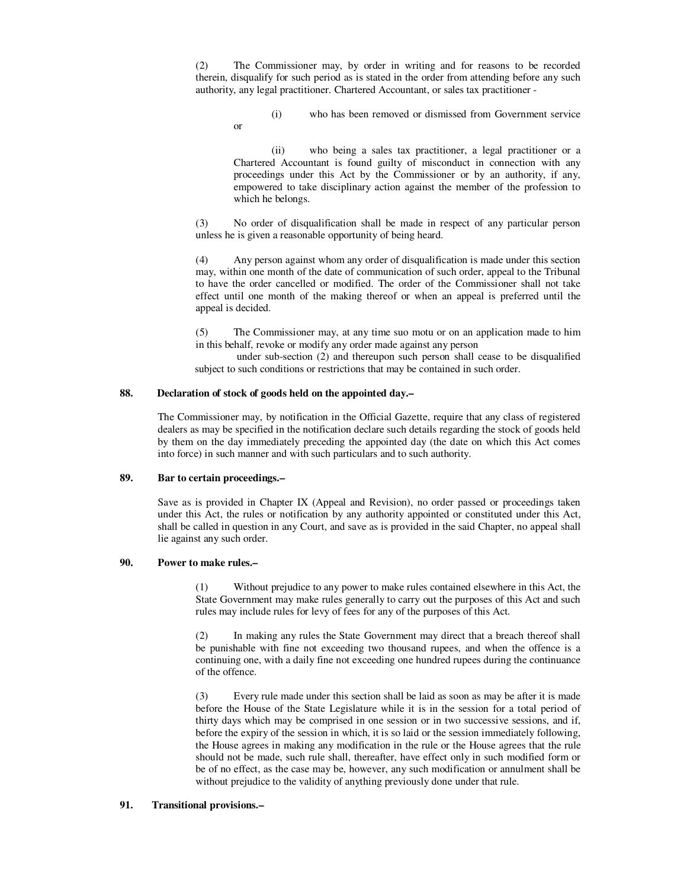(2) The Commissioner may, by order in writing and for reasons to be recorded therein, disqualify for such period as is stated in the order from attending before any such authority, any legal practitioner. Chartered Accountant, or sales tax practitioner -

 (i) who has been removed or dismissed from Government service or

 (ii) who being a sales tax practitioner, a legal practitioner or a Chartered Accountant is found guilty of misconduct in connection with any proceedings under this Act by the Commissioner or by an authority, if any, empowered to take disciplinary action against the member of the profession to which he belongs.

 (3) No order of disqualification shall be made in respect of any particular person unless he is given a reasonable opportunity of being heard.

 (4) Any person against whom any order of disqualification is made under this section may, within one month of the date of communication of such order, appeal to the Tribunal to have the order cancelled or modified. The order of the Commissioner shall not take effect until one month of the making thereof or when an appeal is preferred until the appeal is decided.

 (5) The Commissioner may, at any time suo motu or on an application made to him in this behalf, revoke or modify any order made against any person

 under sub-section (2) and thereupon such person shall cease to be disqualified subject to such conditions or restrictions that may be contained in such order.

### **88. Declaration of stock of goods held on the appointed day.–**

 The Commissioner may, by notification in the Official Gazette, require that any class of registered dealers as may be specified in the notification declare such details regarding the stock of goods held by them on the day immediately preceding the appointed day (the date on which this Act comes into force) in such manner and with such particulars and to such authority.

#### **89. Bar to certain proceedings.–**

 Save as is provided in Chapter IX (Appeal and Revision), no order passed or proceedings taken under this Act, the rules or notification by any authority appointed or constituted under this Act, shall be called in question in any Court, and save as is provided in the said Chapter, no appeal shall lie against any such order.

#### **90. Power to make rules.–**

 (1) Without prejudice to any power to make rules contained elsewhere in this Act, the State Government may make rules generally to carry out the purposes of this Act and such rules may include rules for levy of fees for any of the purposes of this Act.

 (2) In making any rules the State Government may direct that a breach thereof shall be punishable with fine not exceeding two thousand rupees, and when the offence is a continuing one, with a daily fine not exceeding one hundred rupees during the continuance of the offence.

 (3) Every rule made under this section shall be laid as soon as may be after it is made before the House of the State Legislature while it is in the session for a total period of thirty days which may be comprised in one session or in two successive sessions, and if, before the expiry of the session in which, it is so laid or the session immediately following, the House agrees in making any modification in the rule or the House agrees that the rule should not be made, such rule shall, thereafter, have effect only in such modified form or be of no effect, as the case may be, however, any such modification or annulment shall be without prejudice to the validity of anything previously done under that rule.

#### **91. Transitional provisions.–**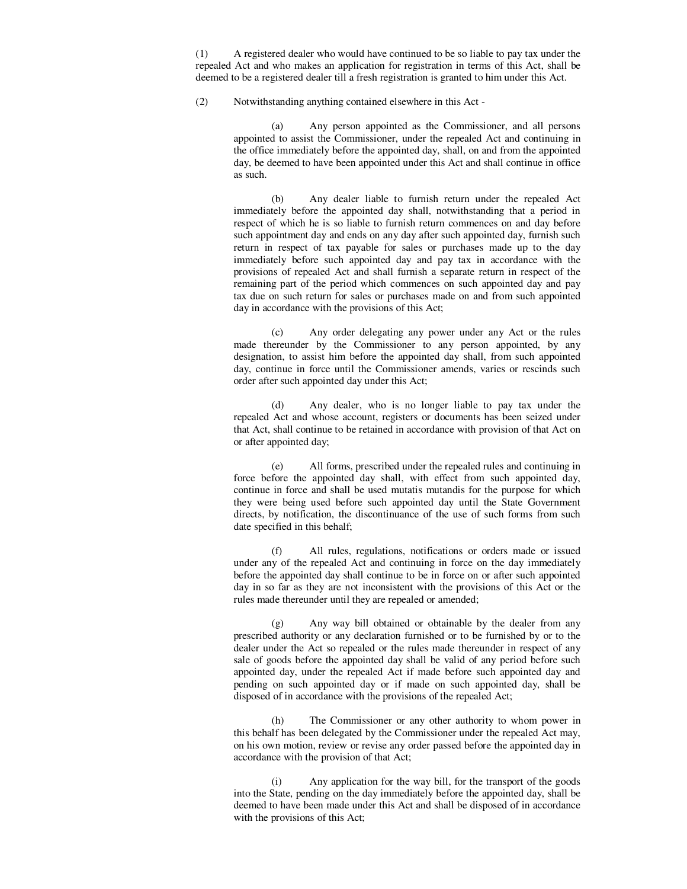(1) A registered dealer who would have continued to be so liable to pay tax under the repealed Act and who makes an application for registration in terms of this Act, shall be deemed to be a registered dealer till a fresh registration is granted to him under this Act.

(2) Notwithstanding anything contained elsewhere in this Act -

 (a) Any person appointed as the Commissioner, and all persons appointed to assist the Commissioner, under the repealed Act and continuing in the office immediately before the appointed day, shall, on and from the appointed day, be deemed to have been appointed under this Act and shall continue in office as such.

 (b) Any dealer liable to furnish return under the repealed Act immediately before the appointed day shall, notwithstanding that a period in respect of which he is so liable to furnish return commences on and day before such appointment day and ends on any day after such appointed day, furnish such return in respect of tax payable for sales or purchases made up to the day immediately before such appointed day and pay tax in accordance with the provisions of repealed Act and shall furnish a separate return in respect of the remaining part of the period which commences on such appointed day and pay tax due on such return for sales or purchases made on and from such appointed day in accordance with the provisions of this Act;

 (c) Any order delegating any power under any Act or the rules made thereunder by the Commissioner to any person appointed, by any designation, to assist him before the appointed day shall, from such appointed day, continue in force until the Commissioner amends, varies or rescinds such order after such appointed day under this Act;

 (d) Any dealer, who is no longer liable to pay tax under the repealed Act and whose account, registers or documents has been seized under that Act, shall continue to be retained in accordance with provision of that Act on or after appointed day;

 (e) All forms, prescribed under the repealed rules and continuing in force before the appointed day shall, with effect from such appointed day, continue in force and shall be used mutatis mutandis for the purpose for which they were being used before such appointed day until the State Government directs, by notification, the discontinuance of the use of such forms from such date specified in this behalf;

 (f) All rules, regulations, notifications or orders made or issued under any of the repealed Act and continuing in force on the day immediately before the appointed day shall continue to be in force on or after such appointed day in so far as they are not inconsistent with the provisions of this Act or the rules made thereunder until they are repealed or amended;

 (g) Any way bill obtained or obtainable by the dealer from any prescribed authority or any declaration furnished or to be furnished by or to the dealer under the Act so repealed or the rules made thereunder in respect of any sale of goods before the appointed day shall be valid of any period before such appointed day, under the repealed Act if made before such appointed day and pending on such appointed day or if made on such appointed day, shall be disposed of in accordance with the provisions of the repealed Act;

 (h) The Commissioner or any other authority to whom power in this behalf has been delegated by the Commissioner under the repealed Act may, on his own motion, review or revise any order passed before the appointed day in accordance with the provision of that Act;

 (i) Any application for the way bill, for the transport of the goods into the State, pending on the day immediately before the appointed day, shall be deemed to have been made under this Act and shall be disposed of in accordance with the provisions of this Act;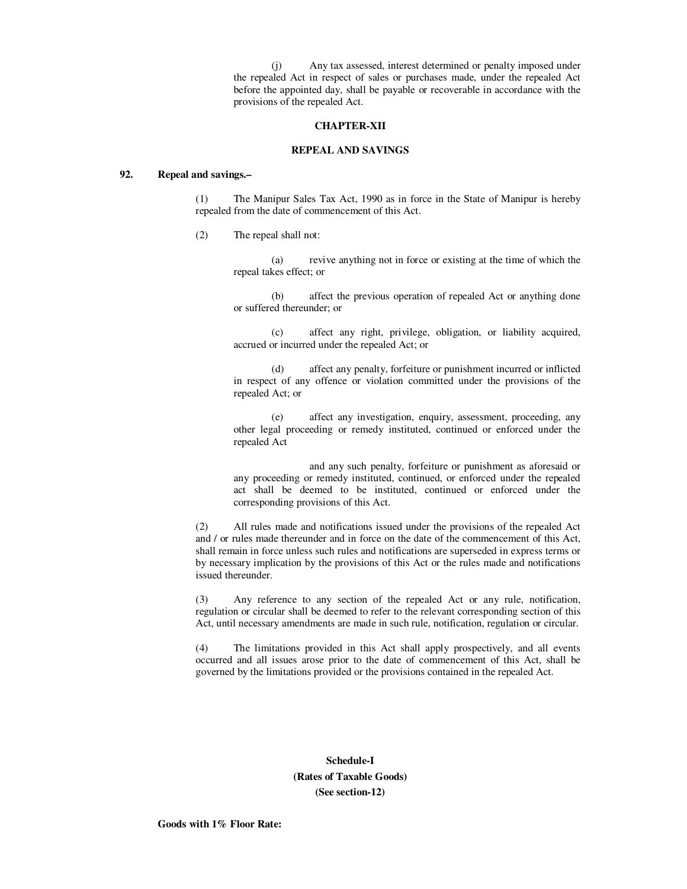(j) Any tax assessed, interest determined or penalty imposed under the repealed Act in respect of sales or purchases made, under the repealed Act before the appointed day, shall be payable or recoverable in accordance with the provisions of the repealed Act.

### **CHAPTER-XII**

# **REPEAL AND SAVINGS**

### **92. Repeal and savings.–**

 (1) The Manipur Sales Tax Act, 1990 as in force in the State of Manipur is hereby repealed from the date of commencement of this Act.

(2) The repeal shall not:

 (a) revive anything not in force or existing at the time of which the repeal takes effect; or

 (b) affect the previous operation of repealed Act or anything done or suffered thereunder; or

 (c) affect any right, privilege, obligation, or liability acquired, accrued or incurred under the repealed Act; or

 (d) affect any penalty, forfeiture or punishment incurred or inflicted in respect of any offence or violation committed under the provisions of the repealed Act; or

 (e) affect any investigation, enquiry, assessment, proceeding, any other legal proceeding or remedy instituted, continued or enforced under the repealed Act

 and any such penalty, forfeiture or punishment as aforesaid or any proceeding or remedy instituted, continued, or enforced under the repealed act shall be deemed to be instituted, continued or enforced under the corresponding provisions of this Act.

 (2) All rules made and notifications issued under the provisions of the repealed Act and / or rules made thereunder and in force on the date of the commencement of this Act, shall remain in force unless such rules and notifications are superseded in express terms or by necessary implication by the provisions of this Act or the rules made and notifications issued thereunder.

 (3) Any reference to any section of the repealed Act or any rule, notification, regulation or circular shall be deemed to refer to the relevant corresponding section of this Act, until necessary amendments are made in such rule, notification, regulation or circular.

 (4) The limitations provided in this Act shall apply prospectively, and all events occurred and all issues arose prior to the date of commencement of this Act, shall be governed by the limitations provided or the provisions contained in the repealed Act.

# **Schedule-I (Rates of Taxable Goods) (See section-12)**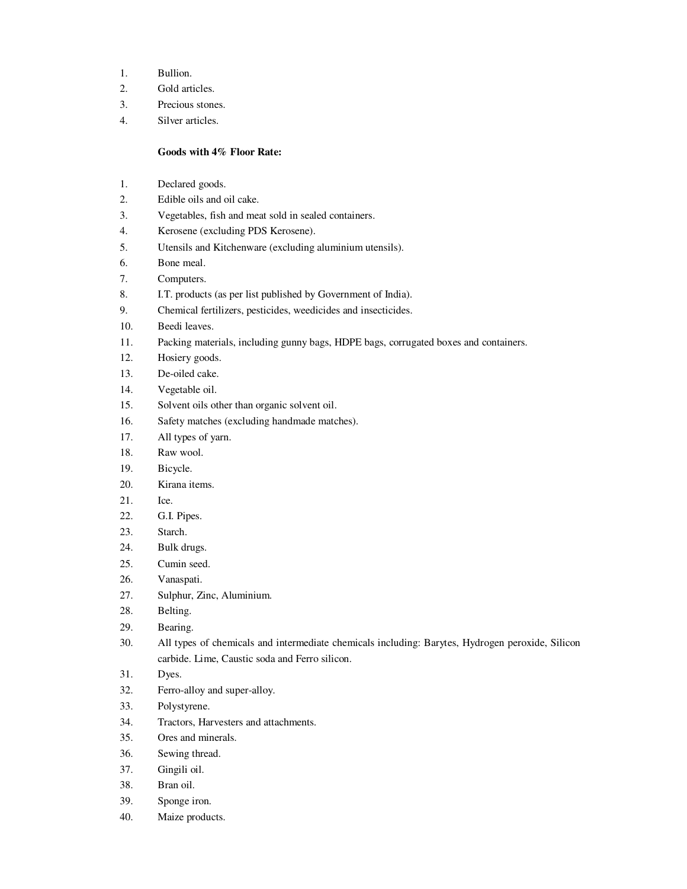- 1. Bullion.
- 2. Gold articles.
- 3. Precious stones.
- 4. Silver articles.

## **Goods with 4% Floor Rate:**

- 1. Declared goods.
- 2. Edible oils and oil cake.
- 3. Vegetables, fish and meat sold in sealed containers.
- 4. Kerosene (excluding PDS Kerosene).
- 5. Utensils and Kitchenware (excluding aluminium utensils).
- 6. Bone meal.
- 7. Computers.
- 8. I.T. products (as per list published by Government of India).
- 9. Chemical fertilizers, pesticides, weedicides and insecticides.
- 10. Beedi leaves.
- 11. Packing materials, including gunny bags, HDPE bags, corrugated boxes and containers.
- 12. Hosiery goods.
- 13. De-oiled cake.
- 14. Vegetable oil.
- 15. Solvent oils other than organic solvent oil.
- 16. Safety matches (excluding handmade matches).
- 17. All types of yarn.
- 18. Raw wool.
- 19. Bicycle.
- 20. Kirana items.
- 21. Ice.
- 22. G.I. Pipes.
- 23. Starch.
- 24. Bulk drugs.
- 25. Cumin seed.
- 26. Vanaspati.
- 27. Sulphur, Zinc, Aluminium.
- 28. Belting.
- 29. Bearing.
- 30. All types of chemicals and intermediate chemicals including: Barytes, Hydrogen peroxide, Silicon carbide. Lime, Caustic soda and Ferro silicon.
- 31. Dyes.
- 32. Ferro-alloy and super-alloy.
- 33. Polystyrene.
- 34. Tractors, Harvesters and attachments.
- 35. Ores and minerals.
- 36. Sewing thread.
- 37. Gingili oil.
- 38. Bran oil.
- 39. Sponge iron.
- 40. Maize products.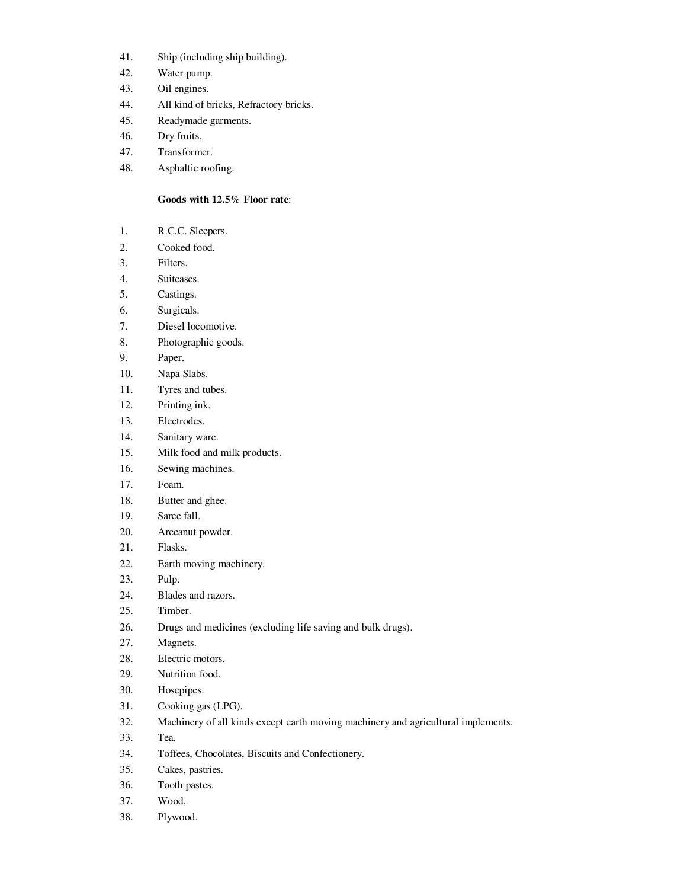- 41. Ship (including ship building).
- 42. Water pump.
- 43. Oil engines.
- 44. All kind of bricks, Refractory bricks.
- 45. Readymade garments.
- 46. Dry fruits.
- 47. Transformer.
- 48. Asphaltic roofing.

# **Goods with 12.5% Floor rate**:

- 1. R.C.C. Sleepers.
- 2. Cooked food.
- 3. Filters.
- 4. Suitcases.
- 5. Castings.
- 6. Surgicals.
- 7. Diesel locomotive.
- 8. Photographic goods.
- 9. Paper.
- 10. Napa Slabs.
- 11. Tyres and tubes.
- 12. Printing ink.
- 13. Electrodes.
- 14. Sanitary ware.
- 15. Milk food and milk products.
- 16. Sewing machines.
- 17. Foam.
- 18. Butter and ghee.
- 19. Saree fall.
- 20. Arecanut powder.
- 21. Flasks.
- 22. Earth moving machinery.
- 23. Pulp.
- 24. Blades and razors.
- 25. Timber.
- 26. Drugs and medicines (excluding life saving and bulk drugs).
- 27. Magnets.
- 28. Electric motors.
- 29. Nutrition food.
- 30. Hosepipes.
- 31. Cooking gas (LPG).
- 32. Machinery of all kinds except earth moving machinery and agricultural implements.
- 33. Tea.
- 34. Toffees, Chocolates, Biscuits and Confectionery.
- 35. Cakes, pastries.
- 36. Tooth pastes.
- 37. Wood,
- 38. Plywood.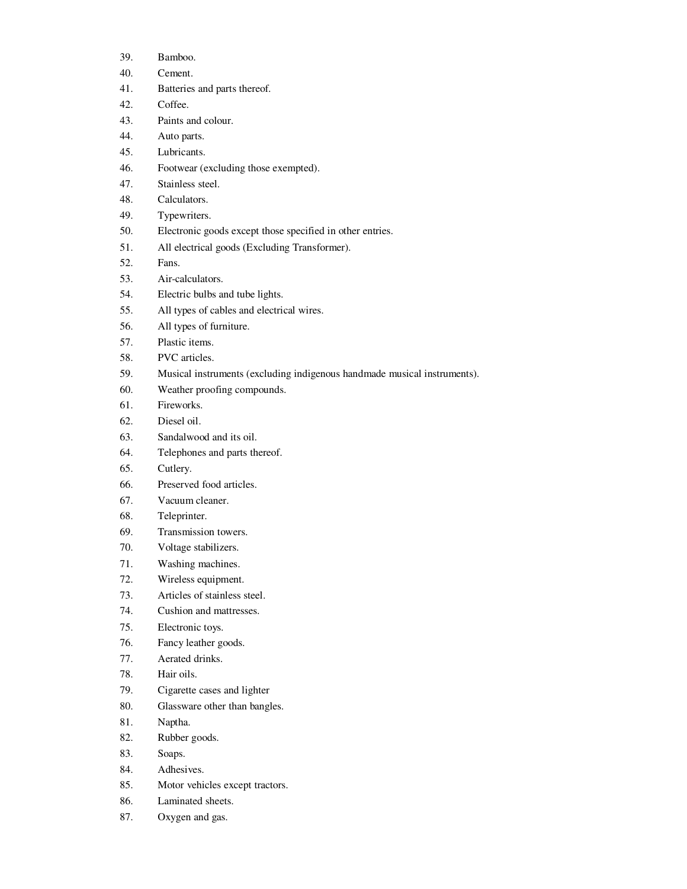- 39. Bamboo.
- 40. Cement.
- 41. Batteries and parts thereof.
- 42. Coffee.
- 43. Paints and colour.
- 44. Auto parts.
- 45. Lubricants.
- 46. Footwear (excluding those exempted).
- 47. Stainless steel.
- 48. Calculators.
- 49. Typewriters.
- 50. Electronic goods except those specified in other entries.
- 51. All electrical goods (Excluding Transformer).
- 52. Fans.
- 53. Air-calculators.
- 54. Electric bulbs and tube lights.
- 55. All types of cables and electrical wires.
- 56. All types of furniture.
- 57. Plastic items.
- 58. PVC articles.
- 59. Musical instruments (excluding indigenous handmade musical instruments).
- 60. Weather proofing compounds.
- 61. Fireworks.
- 62. Diesel oil.
- 63. Sandalwood and its oil.
- 64. Telephones and parts thereof.
- 65. Cutlery.
- 66. Preserved food articles.
- 67. Vacuum cleaner.
- 68. Teleprinter.
- 69. Transmission towers.
- 70. Voltage stabilizers.
- 71. Washing machines.
- 72. Wireless equipment.
- 73. Articles of stainless steel.
- 74. Cushion and mattresses.
- 75. Electronic toys.
- 76. Fancy leather goods.
- 77. Aerated drinks.
- 78. Hair oils.
- 79. Cigarette cases and lighter
- 80. Glassware other than bangles.
- 81. Naptha.
- 82. Rubber goods.
- 83. Soaps.
- 84. Adhesives.
- 85. Motor vehicles except tractors.
- 86. Laminated sheets.
- 87. Oxygen and gas.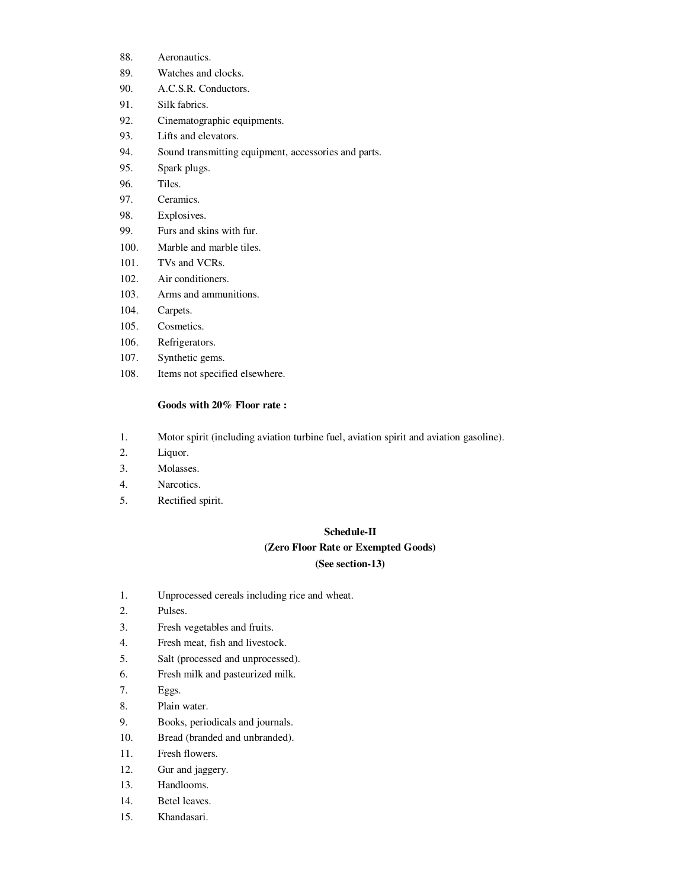- 88. Aeronautics.
- 89. Watches and clocks.
- 90. A.C.S.R. Conductors.
- 91. Silk fabrics.
- 92. Cinematographic equipments.
- 93. Lifts and elevators.
- 94. Sound transmitting equipment, accessories and parts.
- 95. Spark plugs.
- 96. Tiles.
- 97. Ceramics.
- 98. Explosives.
- 99. Furs and skins with fur.
- 100. Marble and marble tiles.
- 101. TVs and VCRs.
- 102. Air conditioners.
- 103. Arms and ammunitions.
- 104. Carpets.
- 105. Cosmetics.
- 106. Refrigerators.
- 107. Synthetic gems.
- 108. Items not specified elsewhere.

### **Goods with 20% Floor rate :**

- 1. Motor spirit (including aviation turbine fuel, aviation spirit and aviation gasoline).
- 2. Liquor.
- 3. Molasses.
- 4. Narcotics.
- 5. Rectified spirit.

### **Schedule-II**

### **(Zero Floor Rate or Exempted Goods)**

# **(See section-13)**

- 1. Unprocessed cereals including rice and wheat.
- 2. Pulses.
- 3. Fresh vegetables and fruits.
- 4. Fresh meat, fish and livestock.
- 5. Salt (processed and unprocessed).
- 6. Fresh milk and pasteurized milk.
- 7. Eggs.
- 8. Plain water.
- 9. Books, periodicals and journals.
- 10. Bread (branded and unbranded).
- 11. Fresh flowers.
- 12. Gur and jaggery.
- 13. Handlooms.
- 14. Betel leaves.
- 15. Khandasari.